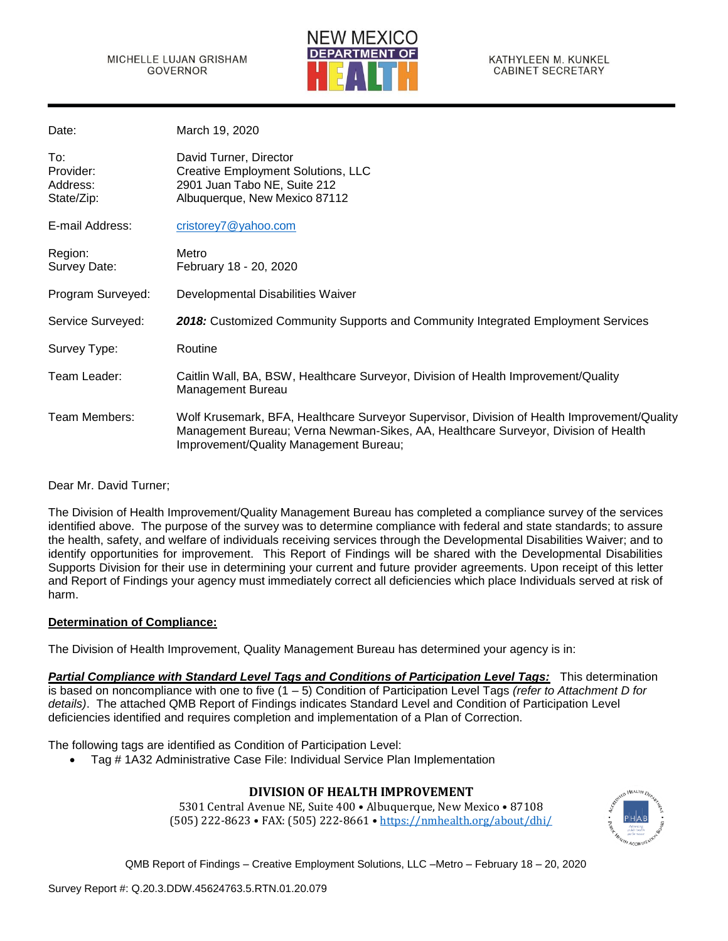

| Date:                                      | March 19, 2020                                                                                                                                                                                                              |
|--------------------------------------------|-----------------------------------------------------------------------------------------------------------------------------------------------------------------------------------------------------------------------------|
| To:<br>Provider:<br>Address:<br>State/Zip: | David Turner, Director<br><b>Creative Employment Solutions, LLC</b><br>2901 Juan Tabo NE, Suite 212<br>Albuquerque, New Mexico 87112                                                                                        |
| E-mail Address:                            | cristorey7@yahoo.com                                                                                                                                                                                                        |
| Region:<br>Survey Date:                    | Metro<br>February 18 - 20, 2020                                                                                                                                                                                             |
| Program Surveyed:                          | Developmental Disabilities Waiver                                                                                                                                                                                           |
| Service Surveyed:                          | 2018: Customized Community Supports and Community Integrated Employment Services                                                                                                                                            |
| Survey Type:                               | Routine                                                                                                                                                                                                                     |
| Team Leader:                               | Caitlin Wall, BA, BSW, Healthcare Surveyor, Division of Health Improvement/Quality<br><b>Management Bureau</b>                                                                                                              |
| Team Members:                              | Wolf Krusemark, BFA, Healthcare Surveyor Supervisor, Division of Health Improvement/Quality<br>Management Bureau; Verna Newman-Sikes, AA, Healthcare Surveyor, Division of Health<br>Improvement/Quality Management Bureau; |
|                                            |                                                                                                                                                                                                                             |

Dear Mr. David Turner;

The Division of Health Improvement/Quality Management Bureau has completed a compliance survey of the services identified above. The purpose of the survey was to determine compliance with federal and state standards; to assure the health, safety, and welfare of individuals receiving services through the Developmental Disabilities Waiver; and to identify opportunities for improvement. This Report of Findings will be shared with the Developmental Disabilities Supports Division for their use in determining your current and future provider agreements. Upon receipt of this letter and Report of Findings your agency must immediately correct all deficiencies which place Individuals served at risk of harm.

### **Determination of Compliance:**

The Division of Health Improvement, Quality Management Bureau has determined your agency is in:

*Partial Compliance with Standard Level Tags and Conditions of Participation Level Tags:* This determination is based on noncompliance with one to five (1 – 5) Condition of Participation Level Tags *(refer to Attachment D for details)*. The attached QMB Report of Findings indicates Standard Level and Condition of Participation Level deficiencies identified and requires completion and implementation of a Plan of Correction.

The following tags are identified as Condition of Participation Level:

• Tag # 1A32 Administrative Case File: Individual Service Plan Implementation

# **DIVISION OF HEALTH IMPROVEMENT**

5301 Central Avenue NE, Suite 400 • Albuquerque, New Mexico • 87108 (505) 222-8623 • FAX: (505) 222-8661 • <https://nmhealth.org/about/dhi/>

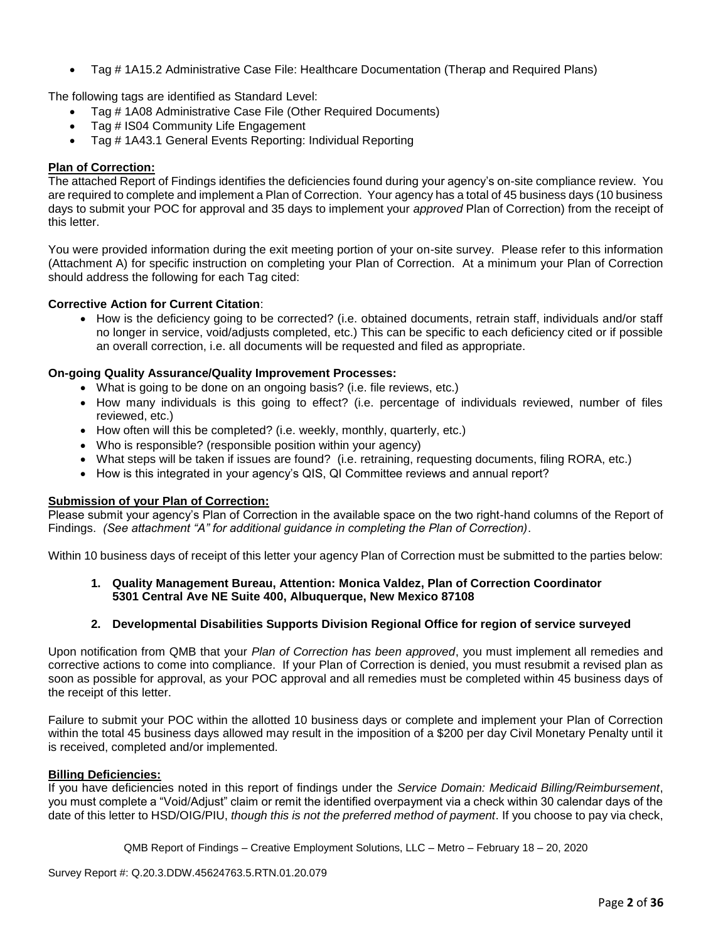• Tag # 1A15.2 Administrative Case File: Healthcare Documentation (Therap and Required Plans)

The following tags are identified as Standard Level:

- Tag # 1A08 Administrative Case File (Other Required Documents)
- Tag # IS04 Community Life Engagement
- Tag # 1A43.1 General Events Reporting: Individual Reporting

### **Plan of Correction:**

The attached Report of Findings identifies the deficiencies found during your agency's on-site compliance review. You are required to complete and implement a Plan of Correction. Your agency has a total of 45 business days (10 business days to submit your POC for approval and 35 days to implement your *approved* Plan of Correction) from the receipt of this letter.

You were provided information during the exit meeting portion of your on-site survey. Please refer to this information (Attachment A) for specific instruction on completing your Plan of Correction. At a minimum your Plan of Correction should address the following for each Tag cited:

### **Corrective Action for Current Citation**:

• How is the deficiency going to be corrected? (i.e. obtained documents, retrain staff, individuals and/or staff no longer in service, void/adjusts completed, etc.) This can be specific to each deficiency cited or if possible an overall correction, i.e. all documents will be requested and filed as appropriate.

### **On-going Quality Assurance/Quality Improvement Processes:**

- What is going to be done on an ongoing basis? (i.e. file reviews, etc.)
- How many individuals is this going to effect? (i.e. percentage of individuals reviewed, number of files reviewed, etc.)
- How often will this be completed? (i.e. weekly, monthly, quarterly, etc.)
- Who is responsible? (responsible position within your agency)
- What steps will be taken if issues are found? (i.e. retraining, requesting documents, filing RORA, etc.)
- How is this integrated in your agency's QIS, QI Committee reviews and annual report?

### **Submission of your Plan of Correction:**

Please submit your agency's Plan of Correction in the available space on the two right-hand columns of the Report of Findings. *(See attachment "A" for additional guidance in completing the Plan of Correction)*.

Within 10 business days of receipt of this letter your agency Plan of Correction must be submitted to the parties below:

### **1. Quality Management Bureau, Attention: Monica Valdez, Plan of Correction Coordinator 5301 Central Ave NE Suite 400, Albuquerque, New Mexico 87108**

### **2. Developmental Disabilities Supports Division Regional Office for region of service surveyed**

Upon notification from QMB that your *Plan of Correction has been approved*, you must implement all remedies and corrective actions to come into compliance. If your Plan of Correction is denied, you must resubmit a revised plan as soon as possible for approval, as your POC approval and all remedies must be completed within 45 business days of the receipt of this letter.

Failure to submit your POC within the allotted 10 business days or complete and implement your Plan of Correction within the total 45 business days allowed may result in the imposition of a \$200 per day Civil Monetary Penalty until it is received, completed and/or implemented.

### **Billing Deficiencies:**

If you have deficiencies noted in this report of findings under the *Service Domain: Medicaid Billing/Reimbursement*, you must complete a "Void/Adjust" claim or remit the identified overpayment via a check within 30 calendar days of the date of this letter to HSD/OIG/PIU, *though this is not the preferred method of payment*. If you choose to pay via check,

QMB Report of Findings – Creative Employment Solutions, LLC – Metro – February 18 – 20, 2020

Survey Report #: Q.20.3.DDW.45624763.5.RTN.01.20.079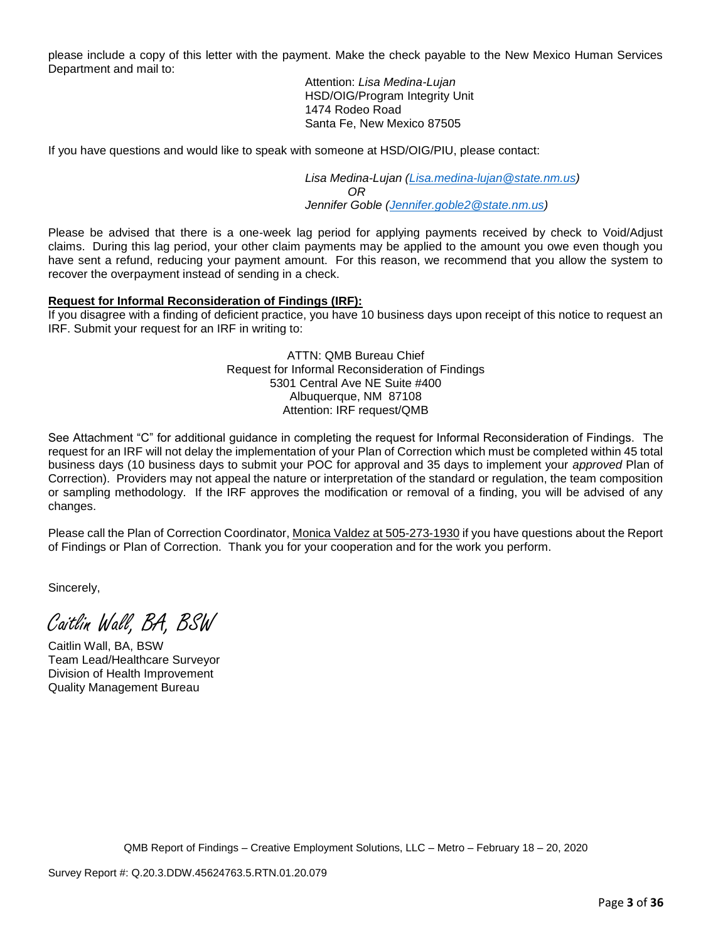please include a copy of this letter with the payment. Make the check payable to the New Mexico Human Services Department and mail to:

> Attention: *Lisa Medina-Lujan* HSD/OIG/Program Integrity Unit 1474 Rodeo Road Santa Fe, New Mexico 87505

If you have questions and would like to speak with someone at HSD/OIG/PIU, please contact:

*Lisa Medina-Lujan [\(Lisa.medina-lujan@state.nm.us\)](mailto:Lisa.medina-lujan@state.nm.us) OR Jennifer Goble [\(Jennifer.goble2@state.nm.us\)](mailto:Jennifer.goble2@state.nm.us)*

Please be advised that there is a one-week lag period for applying payments received by check to Void/Adjust claims. During this lag period, your other claim payments may be applied to the amount you owe even though you have sent a refund, reducing your payment amount. For this reason, we recommend that you allow the system to recover the overpayment instead of sending in a check.

### **Request for Informal Reconsideration of Findings (IRF):**

If you disagree with a finding of deficient practice, you have 10 business days upon receipt of this notice to request an IRF. Submit your request for an IRF in writing to:

> ATTN: QMB Bureau Chief Request for Informal Reconsideration of Findings 5301 Central Ave NE Suite #400 Albuquerque, NM 87108 Attention: IRF request/QMB

See Attachment "C" for additional guidance in completing the request for Informal Reconsideration of Findings. The request for an IRF will not delay the implementation of your Plan of Correction which must be completed within 45 total business days (10 business days to submit your POC for approval and 35 days to implement your *approved* Plan of Correction). Providers may not appeal the nature or interpretation of the standard or regulation, the team composition or sampling methodology. If the IRF approves the modification or removal of a finding, you will be advised of any changes.

Please call the Plan of Correction Coordinator, Monica Valdez at 505-273-1930 if you have questions about the Report of Findings or Plan of Correction. Thank you for your cooperation and for the work you perform.

Sincerely,

Caitlin Wall, BA, BSW

Caitlin Wall, BA, BSW Team Lead/Healthcare Surveyor Division of Health Improvement Quality Management Bureau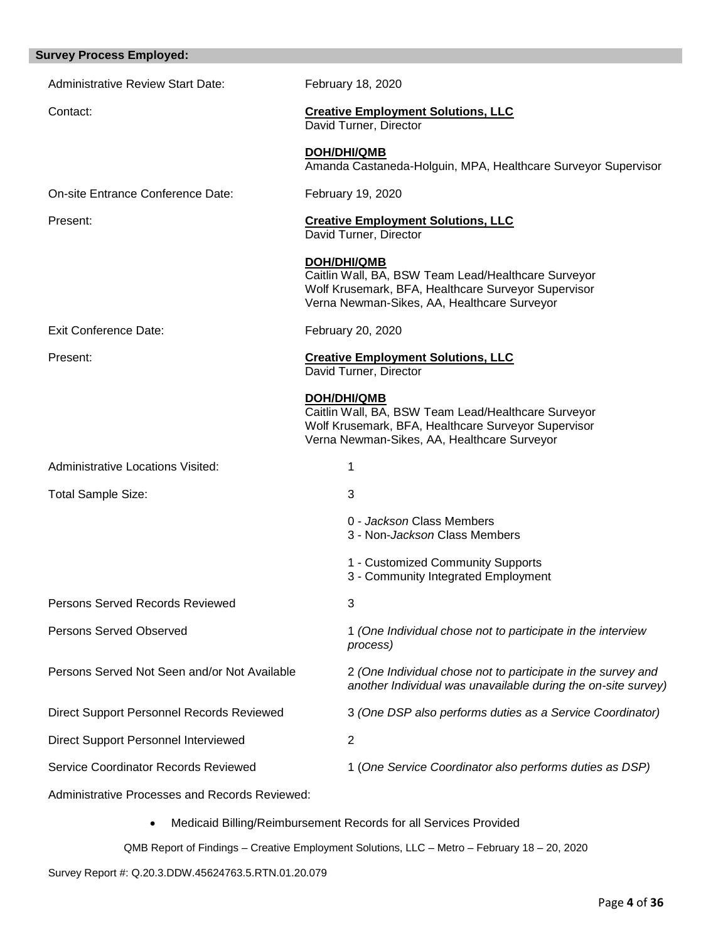| <b>Survey Process Employed:</b>                       |                                                                                                                                                                                 |
|-------------------------------------------------------|---------------------------------------------------------------------------------------------------------------------------------------------------------------------------------|
| <b>Administrative Review Start Date:</b>              | February 18, 2020                                                                                                                                                               |
| Contact:                                              | <b>Creative Employment Solutions, LLC</b><br>David Turner, Director                                                                                                             |
|                                                       | <b>DOH/DHI/QMB</b><br>Amanda Castaneda-Holguin, MPA, Healthcare Surveyor Supervisor                                                                                             |
| On-site Entrance Conference Date:                     | February 19, 2020                                                                                                                                                               |
| Present:                                              | <b>Creative Employment Solutions, LLC</b><br>David Turner, Director                                                                                                             |
|                                                       | <b>DOH/DHI/QMB</b><br>Caitlin Wall, BA, BSW Team Lead/Healthcare Surveyor<br>Wolf Krusemark, BFA, Healthcare Surveyor Supervisor<br>Verna Newman-Sikes, AA, Healthcare Surveyor |
| <b>Exit Conference Date:</b>                          | February 20, 2020                                                                                                                                                               |
| Present:                                              | <b>Creative Employment Solutions, LLC</b><br>David Turner, Director                                                                                                             |
|                                                       | <b>DOH/DHI/QMB</b><br>Caitlin Wall, BA, BSW Team Lead/Healthcare Surveyor<br>Wolf Krusemark, BFA, Healthcare Surveyor Supervisor<br>Verna Newman-Sikes, AA, Healthcare Surveyor |
| <b>Administrative Locations Visited:</b>              | 1                                                                                                                                                                               |
| <b>Total Sample Size:</b>                             | 3                                                                                                                                                                               |
|                                                       | 0 - Jackson Class Members<br>3 - Non-Jackson Class Members                                                                                                                      |
|                                                       | 1 - Customized Community Supports<br>3 - Community Integrated Employment                                                                                                        |
| <b>Persons Served Records Reviewed</b>                | 3                                                                                                                                                                               |
| <b>Persons Served Observed</b>                        | 1 (One Individual chose not to participate in the interview<br>process)                                                                                                         |
| Persons Served Not Seen and/or Not Available          | 2 (One Individual chose not to participate in the survey and<br>another Individual was unavailable during the on-site survey)                                                   |
| <b>Direct Support Personnel Records Reviewed</b>      | 3 (One DSP also performs duties as a Service Coordinator)                                                                                                                       |
| Direct Support Personnel Interviewed                  | 2                                                                                                                                                                               |
| Service Coordinator Records Reviewed                  | 1 (One Service Coordinator also performs duties as DSP)                                                                                                                         |
| <b>Administrative Processes and Records Reviewed:</b> |                                                                                                                                                                                 |
|                                                       |                                                                                                                                                                                 |

• Medicaid Billing/Reimbursement Records for all Services Provided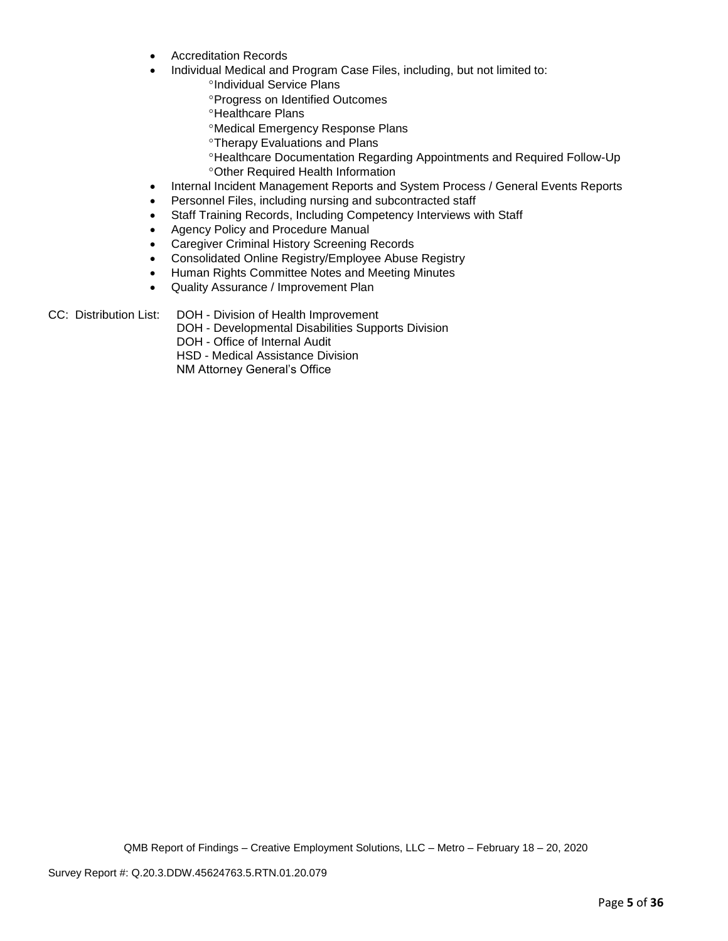- Accreditation Records
	- Individual Medical and Program Case Files, including, but not limited to:
		- <sup>o</sup>Individual Service Plans
		- Progress on Identified Outcomes
		- **<sup>o</sup>Healthcare Plans**
		- Medical Emergency Response Plans
		- **<sup>o</sup>Therapy Evaluations and Plans**
		- Healthcare Documentation Regarding Appointments and Required Follow-Up Other Required Health Information
- Internal Incident Management Reports and System Process / General Events Reports
- Personnel Files, including nursing and subcontracted staff
- Staff Training Records, Including Competency Interviews with Staff
- Agency Policy and Procedure Manual
- Caregiver Criminal History Screening Records
- Consolidated Online Registry/Employee Abuse Registry
- Human Rights Committee Notes and Meeting Minutes
- Quality Assurance / Improvement Plan

CC: Distribution List: DOH - Division of Health Improvement

DOH - Developmental Disabilities Supports Division DOH - Office of Internal Audit HSD - Medical Assistance Division NM Attorney General's Office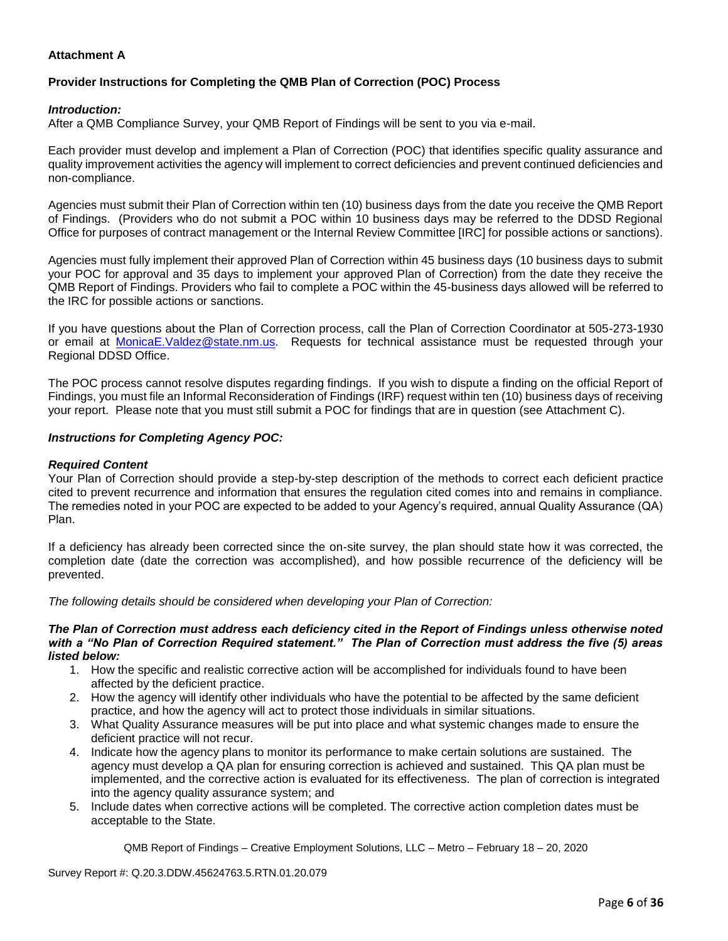## **Attachment A**

## **Provider Instructions for Completing the QMB Plan of Correction (POC) Process**

### *Introduction:*

After a QMB Compliance Survey, your QMB Report of Findings will be sent to you via e-mail.

Each provider must develop and implement a Plan of Correction (POC) that identifies specific quality assurance and quality improvement activities the agency will implement to correct deficiencies and prevent continued deficiencies and non-compliance.

Agencies must submit their Plan of Correction within ten (10) business days from the date you receive the QMB Report of Findings. (Providers who do not submit a POC within 10 business days may be referred to the DDSD Regional Office for purposes of contract management or the Internal Review Committee [IRC] for possible actions or sanctions).

Agencies must fully implement their approved Plan of Correction within 45 business days (10 business days to submit your POC for approval and 35 days to implement your approved Plan of Correction) from the date they receive the QMB Report of Findings. Providers who fail to complete a POC within the 45-business days allowed will be referred to the IRC for possible actions or sanctions.

If you have questions about the Plan of Correction process, call the Plan of Correction Coordinator at 505-273-1930 or email at [MonicaE.Valdez@state.nm.us.](mailto:MonicaE.Valdez@state.nm.us) Requests for technical assistance must be requested through your Regional DDSD Office.

The POC process cannot resolve disputes regarding findings. If you wish to dispute a finding on the official Report of Findings, you must file an Informal Reconsideration of Findings (IRF) request within ten (10) business days of receiving your report. Please note that you must still submit a POC for findings that are in question (see Attachment C).

### *Instructions for Completing Agency POC:*

### *Required Content*

Your Plan of Correction should provide a step-by-step description of the methods to correct each deficient practice cited to prevent recurrence and information that ensures the regulation cited comes into and remains in compliance. The remedies noted in your POC are expected to be added to your Agency's required, annual Quality Assurance (QA) Plan.

If a deficiency has already been corrected since the on-site survey, the plan should state how it was corrected, the completion date (date the correction was accomplished), and how possible recurrence of the deficiency will be prevented.

*The following details should be considered when developing your Plan of Correction:*

#### *The Plan of Correction must address each deficiency cited in the Report of Findings unless otherwise noted with a "No Plan of Correction Required statement." The Plan of Correction must address the five (5) areas listed below:*

- 1. How the specific and realistic corrective action will be accomplished for individuals found to have been affected by the deficient practice.
- 2. How the agency will identify other individuals who have the potential to be affected by the same deficient practice, and how the agency will act to protect those individuals in similar situations.
- 3. What Quality Assurance measures will be put into place and what systemic changes made to ensure the deficient practice will not recur.
- 4. Indicate how the agency plans to monitor its performance to make certain solutions are sustained. The agency must develop a QA plan for ensuring correction is achieved and sustained. This QA plan must be implemented, and the corrective action is evaluated for its effectiveness. The plan of correction is integrated into the agency quality assurance system; and
- 5. Include dates when corrective actions will be completed. The corrective action completion dates must be acceptable to the State.

QMB Report of Findings – Creative Employment Solutions, LLC – Metro – February 18 – 20, 2020

Survey Report #: Q.20.3.DDW.45624763.5.RTN.01.20.079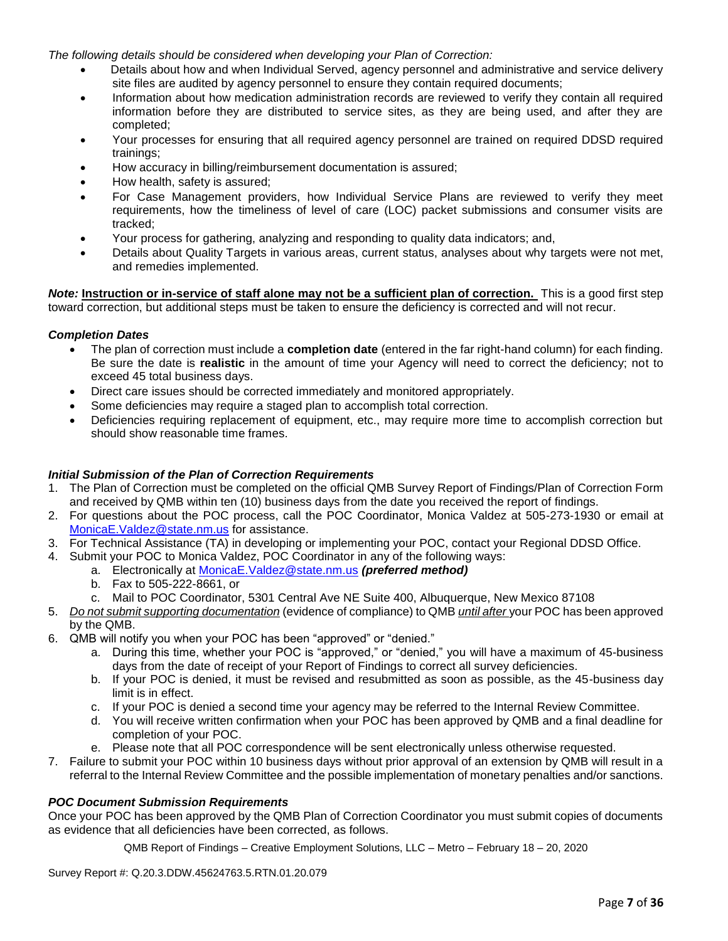*The following details should be considered when developing your Plan of Correction:*

- Details about how and when Individual Served, agency personnel and administrative and service delivery site files are audited by agency personnel to ensure they contain required documents;
- Information about how medication administration records are reviewed to verify they contain all required information before they are distributed to service sites, as they are being used, and after they are completed;
- Your processes for ensuring that all required agency personnel are trained on required DDSD required trainings;
- How accuracy in billing/reimbursement documentation is assured;
- How health, safety is assured;
- For Case Management providers, how Individual Service Plans are reviewed to verify they meet requirements, how the timeliness of level of care (LOC) packet submissions and consumer visits are tracked;
- Your process for gathering, analyzing and responding to quality data indicators; and,
- Details about Quality Targets in various areas, current status, analyses about why targets were not met, and remedies implemented.

*Note:* **Instruction or in-service of staff alone may not be a sufficient plan of correction.** This is a good first step toward correction, but additional steps must be taken to ensure the deficiency is corrected and will not recur.

### *Completion Dates*

- The plan of correction must include a **completion date** (entered in the far right-hand column) for each finding. Be sure the date is **realistic** in the amount of time your Agency will need to correct the deficiency; not to exceed 45 total business days.
- Direct care issues should be corrected immediately and monitored appropriately.
- Some deficiencies may require a staged plan to accomplish total correction.
- Deficiencies requiring replacement of equipment, etc., may require more time to accomplish correction but should show reasonable time frames.

### *Initial Submission of the Plan of Correction Requirements*

- 1. The Plan of Correction must be completed on the official QMB Survey Report of Findings/Plan of Correction Form and received by QMB within ten (10) business days from the date you received the report of findings.
- 2. For questions about the POC process, call the POC Coordinator, Monica Valdez at 505-273-1930 or email at [MonicaE.Valdez@state.nm.us](mailto:MonicaE.Valdez@state.nm.us) for assistance.
- 3. For Technical Assistance (TA) in developing or implementing your POC, contact your Regional DDSD Office.
- 4. Submit your POC to Monica Valdez, POC Coordinator in any of the following ways:
	- a. Electronically at [MonicaE.Valdez@state.nm.us](mailto:MonicaE.Valdez@state.nm.us) *(preferred method)*
	- b. Fax to 505-222-8661, or
	- c. Mail to POC Coordinator, 5301 Central Ave NE Suite 400, Albuquerque, New Mexico 87108
- 5. *Do not submit supporting documentation* (evidence of compliance) to QMB *until after* your POC has been approved by the QMB.
- 6. QMB will notify you when your POC has been "approved" or "denied."
	- a. During this time, whether your POC is "approved," or "denied," you will have a maximum of 45-business days from the date of receipt of your Report of Findings to correct all survey deficiencies.
	- b. If your POC is denied, it must be revised and resubmitted as soon as possible, as the 45-business day limit is in effect.
	- c. If your POC is denied a second time your agency may be referred to the Internal Review Committee.
	- d. You will receive written confirmation when your POC has been approved by QMB and a final deadline for completion of your POC.
	- e. Please note that all POC correspondence will be sent electronically unless otherwise requested.
- 7. Failure to submit your POC within 10 business days without prior approval of an extension by QMB will result in a referral to the Internal Review Committee and the possible implementation of monetary penalties and/or sanctions.

### *POC Document Submission Requirements*

Once your POC has been approved by the QMB Plan of Correction Coordinator you must submit copies of documents as evidence that all deficiencies have been corrected, as follows.

QMB Report of Findings – Creative Employment Solutions, LLC – Metro – February 18 – 20, 2020

Survey Report #: Q.20.3.DDW.45624763.5.RTN.01.20.079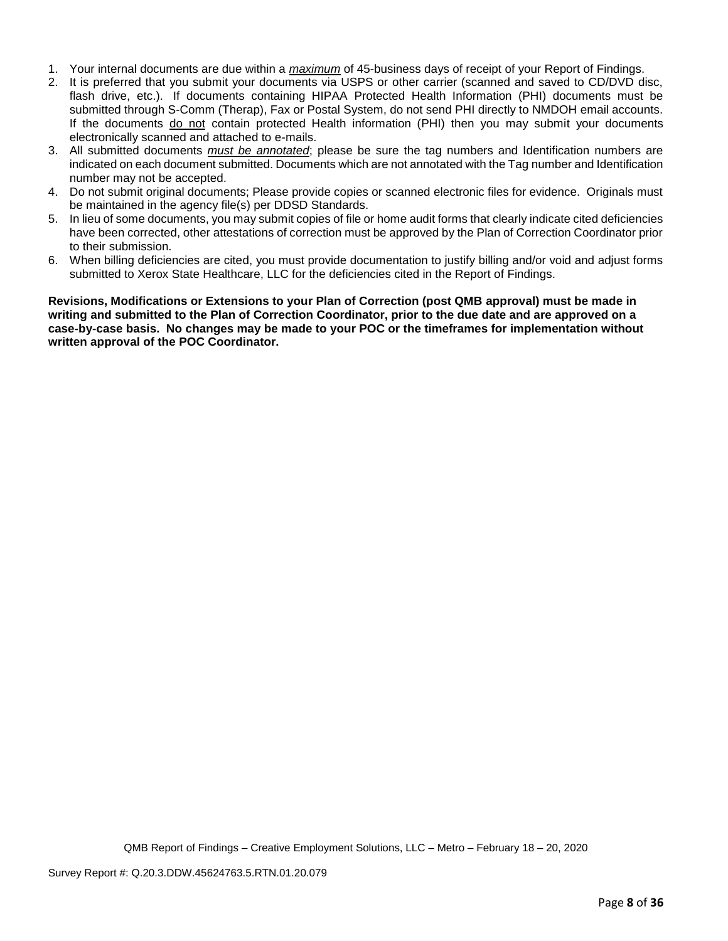- 1. Your internal documents are due within a *maximum* of 45-business days of receipt of your Report of Findings.
- 2. It is preferred that you submit your documents via USPS or other carrier (scanned and saved to CD/DVD disc, flash drive, etc.). If documents containing HIPAA Protected Health Information (PHI) documents must be submitted through S-Comm (Therap), Fax or Postal System, do not send PHI directly to NMDOH email accounts. If the documents do not contain protected Health information (PHI) then you may submit your documents electronically scanned and attached to e-mails.
- 3. All submitted documents *must be annotated*; please be sure the tag numbers and Identification numbers are indicated on each document submitted. Documents which are not annotated with the Tag number and Identification number may not be accepted.
- 4. Do not submit original documents; Please provide copies or scanned electronic files for evidence. Originals must be maintained in the agency file(s) per DDSD Standards.
- 5. In lieu of some documents, you may submit copies of file or home audit forms that clearly indicate cited deficiencies have been corrected, other attestations of correction must be approved by the Plan of Correction Coordinator prior to their submission.
- 6. When billing deficiencies are cited, you must provide documentation to justify billing and/or void and adjust forms submitted to Xerox State Healthcare, LLC for the deficiencies cited in the Report of Findings.

**Revisions, Modifications or Extensions to your Plan of Correction (post QMB approval) must be made in writing and submitted to the Plan of Correction Coordinator, prior to the due date and are approved on a case-by-case basis. No changes may be made to your POC or the timeframes for implementation without written approval of the POC Coordinator.**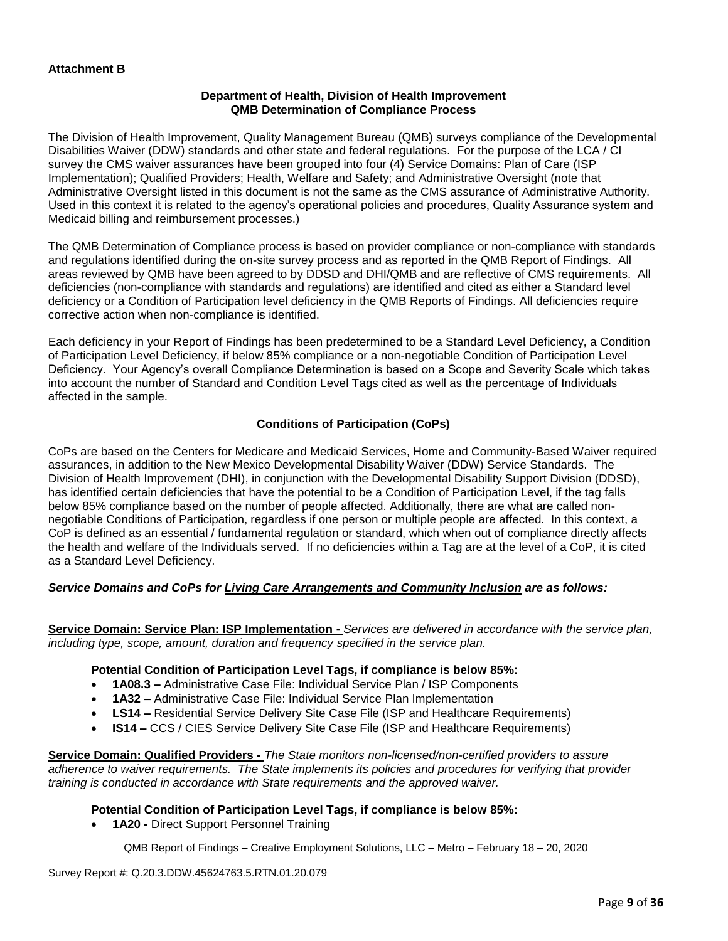### **Department of Health, Division of Health Improvement QMB Determination of Compliance Process**

The Division of Health Improvement, Quality Management Bureau (QMB) surveys compliance of the Developmental Disabilities Waiver (DDW) standards and other state and federal regulations. For the purpose of the LCA / CI survey the CMS waiver assurances have been grouped into four (4) Service Domains: Plan of Care (ISP Implementation); Qualified Providers; Health, Welfare and Safety; and Administrative Oversight (note that Administrative Oversight listed in this document is not the same as the CMS assurance of Administrative Authority. Used in this context it is related to the agency's operational policies and procedures, Quality Assurance system and Medicaid billing and reimbursement processes.)

The QMB Determination of Compliance process is based on provider compliance or non-compliance with standards and regulations identified during the on-site survey process and as reported in the QMB Report of Findings. All areas reviewed by QMB have been agreed to by DDSD and DHI/QMB and are reflective of CMS requirements. All deficiencies (non-compliance with standards and regulations) are identified and cited as either a Standard level deficiency or a Condition of Participation level deficiency in the QMB Reports of Findings. All deficiencies require corrective action when non-compliance is identified.

Each deficiency in your Report of Findings has been predetermined to be a Standard Level Deficiency, a Condition of Participation Level Deficiency, if below 85% compliance or a non-negotiable Condition of Participation Level Deficiency. Your Agency's overall Compliance Determination is based on a Scope and Severity Scale which takes into account the number of Standard and Condition Level Tags cited as well as the percentage of Individuals affected in the sample.

## **Conditions of Participation (CoPs)**

CoPs are based on the Centers for Medicare and Medicaid Services, Home and Community-Based Waiver required assurances, in addition to the New Mexico Developmental Disability Waiver (DDW) Service Standards. The Division of Health Improvement (DHI), in conjunction with the Developmental Disability Support Division (DDSD), has identified certain deficiencies that have the potential to be a Condition of Participation Level, if the tag falls below 85% compliance based on the number of people affected. Additionally, there are what are called nonnegotiable Conditions of Participation, regardless if one person or multiple people are affected. In this context, a CoP is defined as an essential / fundamental regulation or standard, which when out of compliance directly affects the health and welfare of the Individuals served. If no deficiencies within a Tag are at the level of a CoP, it is cited as a Standard Level Deficiency.

### *Service Domains and CoPs for Living Care Arrangements and Community Inclusion are as follows:*

**Service Domain: Service Plan: ISP Implementation -** *Services are delivered in accordance with the service plan, including type, scope, amount, duration and frequency specified in the service plan.*

### **Potential Condition of Participation Level Tags, if compliance is below 85%:**

- **1A08.3 –** Administrative Case File: Individual Service Plan / ISP Components
- **1A32 –** Administrative Case File: Individual Service Plan Implementation
- **LS14 –** Residential Service Delivery Site Case File (ISP and Healthcare Requirements)
- **IS14 –** CCS / CIES Service Delivery Site Case File (ISP and Healthcare Requirements)

**Service Domain: Qualified Providers -** *The State monitors non-licensed/non-certified providers to assure adherence to waiver requirements. The State implements its policies and procedures for verifying that provider training is conducted in accordance with State requirements and the approved waiver.*

### **Potential Condition of Participation Level Tags, if compliance is below 85%:**

• **1A20 -** Direct Support Personnel Training

QMB Report of Findings – Creative Employment Solutions, LLC – Metro – February 18 – 20, 2020

Survey Report #: Q.20.3.DDW.45624763.5.RTN.01.20.079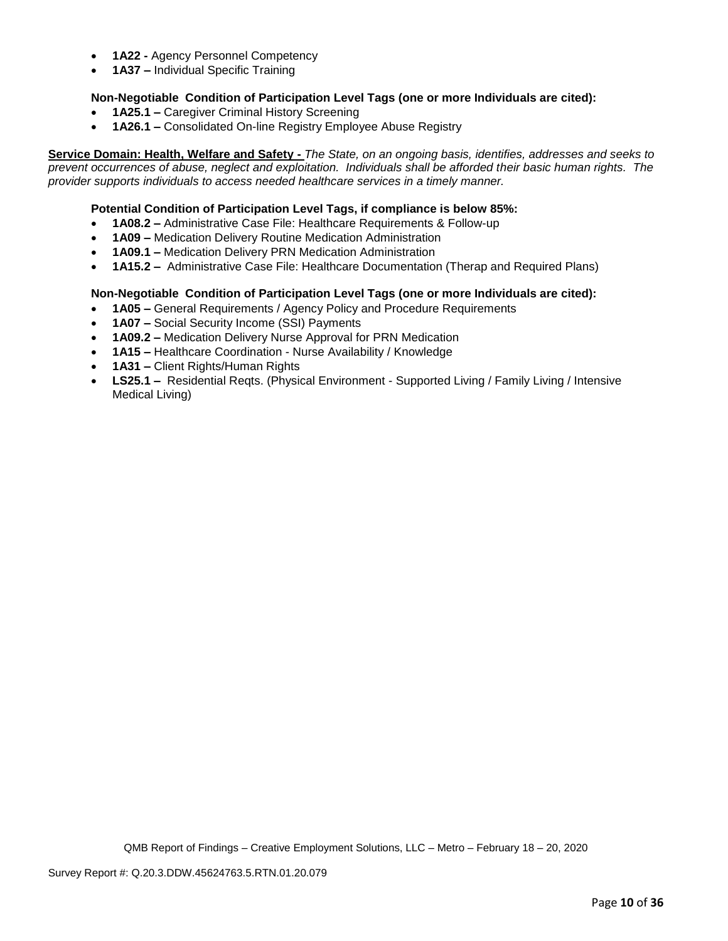- **1A22 -** Agency Personnel Competency
- **1A37 –** Individual Specific Training

### **Non-Negotiable Condition of Participation Level Tags (one or more Individuals are cited):**

- **1A25.1 –** Caregiver Criminal History Screening
- **1A26.1 –** Consolidated On-line Registry Employee Abuse Registry

**Service Domain: Health, Welfare and Safety -** *The State, on an ongoing basis, identifies, addresses and seeks to prevent occurrences of abuse, neglect and exploitation. Individuals shall be afforded their basic human rights. The provider supports individuals to access needed healthcare services in a timely manner.*

### **Potential Condition of Participation Level Tags, if compliance is below 85%:**

- **1A08.2 –** Administrative Case File: Healthcare Requirements & Follow-up
- **1A09 –** Medication Delivery Routine Medication Administration
- **1A09.1 –** Medication Delivery PRN Medication Administration
- **1A15.2 –** Administrative Case File: Healthcare Documentation (Therap and Required Plans)

### **Non-Negotiable Condition of Participation Level Tags (one or more Individuals are cited):**

- **1A05 –** General Requirements / Agency Policy and Procedure Requirements
- **1A07 –** Social Security Income (SSI) Payments
- **1A09.2 –** Medication Delivery Nurse Approval for PRN Medication
- **1A15 –** Healthcare Coordination Nurse Availability / Knowledge
- **1A31 –** Client Rights/Human Rights
- **LS25.1 –** Residential Reqts. (Physical Environment Supported Living / Family Living / Intensive Medical Living)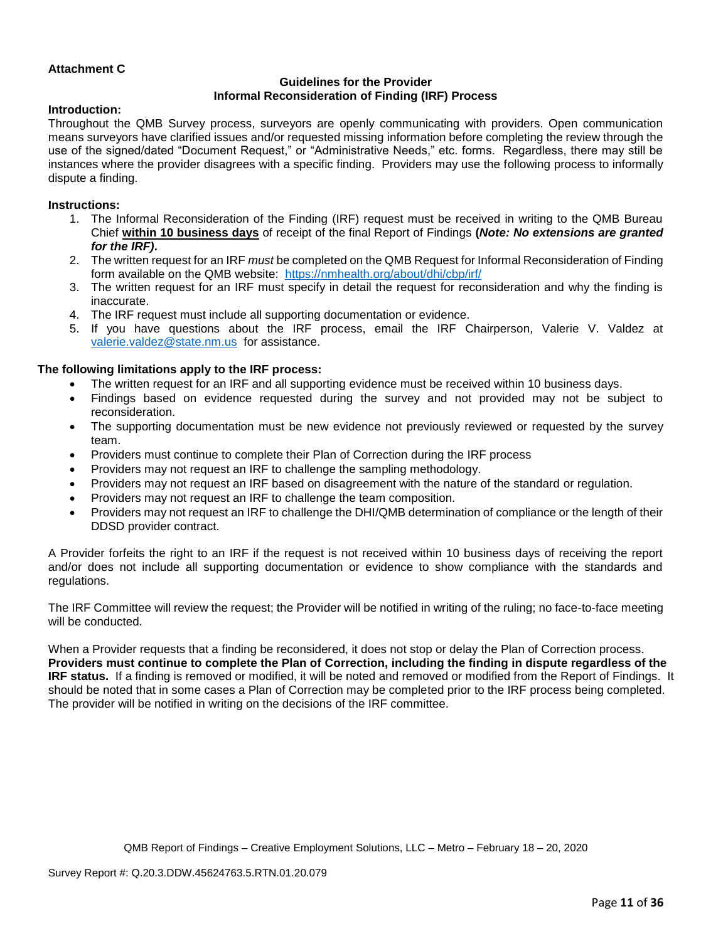### **Attachment C**

## **Guidelines for the Provider Informal Reconsideration of Finding (IRF) Process**

### **Introduction:**

Throughout the QMB Survey process, surveyors are openly communicating with providers. Open communication means surveyors have clarified issues and/or requested missing information before completing the review through the use of the signed/dated "Document Request," or "Administrative Needs," etc. forms. Regardless, there may still be instances where the provider disagrees with a specific finding. Providers may use the following process to informally dispute a finding.

#### **Instructions:**

- 1. The Informal Reconsideration of the Finding (IRF) request must be received in writing to the QMB Bureau Chief **within 10 business days** of receipt of the final Report of Findings **(***Note: No extensions are granted for the IRF)***.**
- 2. The written request for an IRF *must* be completed on the QMB Request for Informal Reconsideration of Finding form available on the QMB website: <https://nmhealth.org/about/dhi/cbp/irf/>
- 3. The written request for an IRF must specify in detail the request for reconsideration and why the finding is inaccurate.
- 4. The IRF request must include all supporting documentation or evidence.
- 5. If you have questions about the IRF process, email the IRF Chairperson, Valerie V. Valdez at [valerie.valdez@state.nm.us](mailto:valerie.valdez@state.nm.us) for assistance.

#### **The following limitations apply to the IRF process:**

- The written request for an IRF and all supporting evidence must be received within 10 business days.
- Findings based on evidence requested during the survey and not provided may not be subject to reconsideration.
- The supporting documentation must be new evidence not previously reviewed or requested by the survey team.
- Providers must continue to complete their Plan of Correction during the IRF process
- Providers may not request an IRF to challenge the sampling methodology.
- Providers may not request an IRF based on disagreement with the nature of the standard or regulation.
- Providers may not request an IRF to challenge the team composition.
- Providers may not request an IRF to challenge the DHI/QMB determination of compliance or the length of their DDSD provider contract.

A Provider forfeits the right to an IRF if the request is not received within 10 business days of receiving the report and/or does not include all supporting documentation or evidence to show compliance with the standards and regulations.

The IRF Committee will review the request; the Provider will be notified in writing of the ruling; no face-to-face meeting will be conducted.

When a Provider requests that a finding be reconsidered, it does not stop or delay the Plan of Correction process. **Providers must continue to complete the Plan of Correction, including the finding in dispute regardless of the IRF status.** If a finding is removed or modified, it will be noted and removed or modified from the Report of Findings. It should be noted that in some cases a Plan of Correction may be completed prior to the IRF process being completed. The provider will be notified in writing on the decisions of the IRF committee.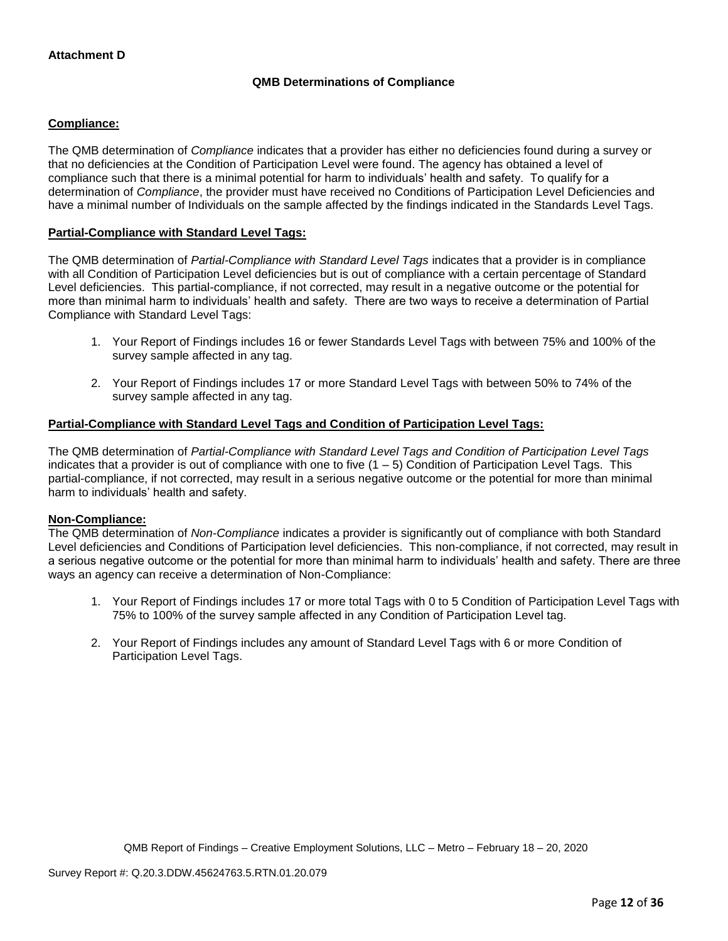## **QMB Determinations of Compliance**

### **Compliance:**

The QMB determination of *Compliance* indicates that a provider has either no deficiencies found during a survey or that no deficiencies at the Condition of Participation Level were found. The agency has obtained a level of compliance such that there is a minimal potential for harm to individuals' health and safety. To qualify for a determination of *Compliance*, the provider must have received no Conditions of Participation Level Deficiencies and have a minimal number of Individuals on the sample affected by the findings indicated in the Standards Level Tags.

### **Partial-Compliance with Standard Level Tags:**

The QMB determination of *Partial-Compliance with Standard Level Tags* indicates that a provider is in compliance with all Condition of Participation Level deficiencies but is out of compliance with a certain percentage of Standard Level deficiencies. This partial-compliance, if not corrected, may result in a negative outcome or the potential for more than minimal harm to individuals' health and safety. There are two ways to receive a determination of Partial Compliance with Standard Level Tags:

- 1. Your Report of Findings includes 16 or fewer Standards Level Tags with between 75% and 100% of the survey sample affected in any tag.
- 2. Your Report of Findings includes 17 or more Standard Level Tags with between 50% to 74% of the survey sample affected in any tag.

### **Partial-Compliance with Standard Level Tags and Condition of Participation Level Tags:**

The QMB determination of *Partial-Compliance with Standard Level Tags and Condition of Participation Level Tags*  indicates that a provider is out of compliance with one to five  $(1 - 5)$  Condition of Participation Level Tags. This partial-compliance, if not corrected, may result in a serious negative outcome or the potential for more than minimal harm to individuals' health and safety.

### **Non-Compliance:**

The QMB determination of *Non-Compliance* indicates a provider is significantly out of compliance with both Standard Level deficiencies and Conditions of Participation level deficiencies. This non-compliance, if not corrected, may result in a serious negative outcome or the potential for more than minimal harm to individuals' health and safety. There are three ways an agency can receive a determination of Non-Compliance:

- 1. Your Report of Findings includes 17 or more total Tags with 0 to 5 Condition of Participation Level Tags with 75% to 100% of the survey sample affected in any Condition of Participation Level tag.
- 2. Your Report of Findings includes any amount of Standard Level Tags with 6 or more Condition of Participation Level Tags.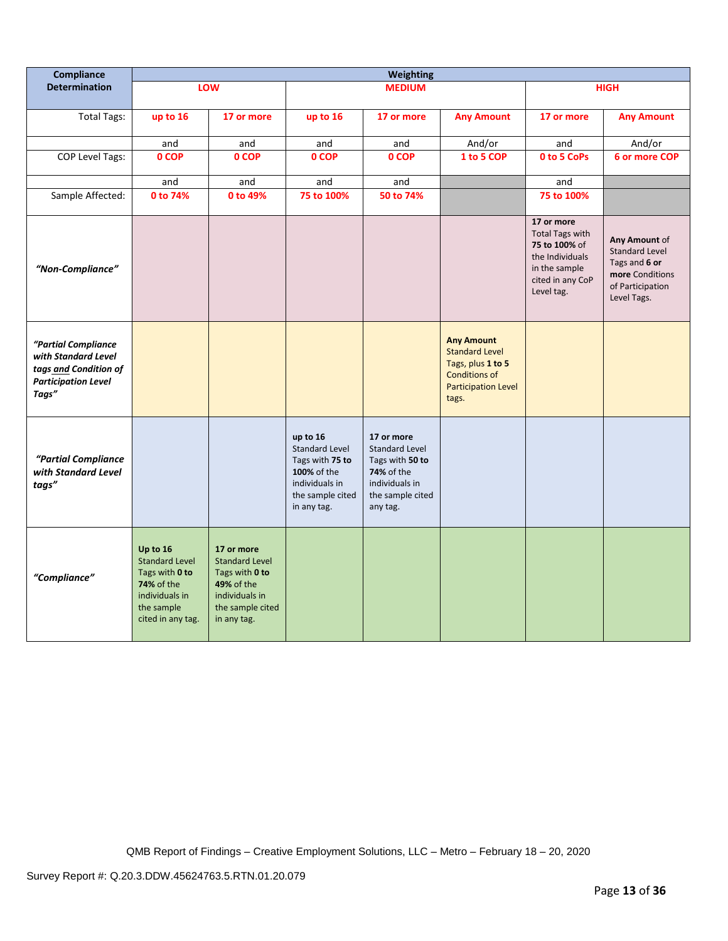| <b>Compliance</b>                                                                                          | Weighting                                                                                                                     |                                                                                                                          |                                                                                                                          |                                                                                                                               |                                                                                                                                |                                                                                                                             |                                                                                                               |
|------------------------------------------------------------------------------------------------------------|-------------------------------------------------------------------------------------------------------------------------------|--------------------------------------------------------------------------------------------------------------------------|--------------------------------------------------------------------------------------------------------------------------|-------------------------------------------------------------------------------------------------------------------------------|--------------------------------------------------------------------------------------------------------------------------------|-----------------------------------------------------------------------------------------------------------------------------|---------------------------------------------------------------------------------------------------------------|
| <b>Determination</b>                                                                                       |                                                                                                                               | LOW                                                                                                                      |                                                                                                                          | <b>MEDIUM</b>                                                                                                                 |                                                                                                                                |                                                                                                                             | <b>HIGH</b>                                                                                                   |
| <b>Total Tags:</b>                                                                                         | up to 16                                                                                                                      | 17 or more                                                                                                               | up to 16                                                                                                                 | 17 or more                                                                                                                    | <b>Any Amount</b>                                                                                                              | 17 or more                                                                                                                  | <b>Any Amount</b>                                                                                             |
|                                                                                                            | and                                                                                                                           | and                                                                                                                      | and                                                                                                                      | and                                                                                                                           | And/or                                                                                                                         | and                                                                                                                         | And/or                                                                                                        |
| <b>COP Level Tags:</b>                                                                                     | 0 COP                                                                                                                         | 0 COP                                                                                                                    | 0 COP                                                                                                                    | 0 COP                                                                                                                         | 1 to 5 COP                                                                                                                     | 0 to 5 CoPs                                                                                                                 | 6 or more COP                                                                                                 |
|                                                                                                            | and                                                                                                                           | and                                                                                                                      | and                                                                                                                      | and                                                                                                                           |                                                                                                                                | and                                                                                                                         |                                                                                                               |
| Sample Affected:                                                                                           | 0 to 74%                                                                                                                      | 0 to 49%                                                                                                                 | 75 to 100%                                                                                                               | 50 to 74%                                                                                                                     |                                                                                                                                | 75 to 100%                                                                                                                  |                                                                                                               |
| "Non-Compliance"                                                                                           |                                                                                                                               |                                                                                                                          |                                                                                                                          |                                                                                                                               |                                                                                                                                | 17 or more<br><b>Total Tags with</b><br>75 to 100% of<br>the Individuals<br>in the sample<br>cited in any CoP<br>Level tag. | Any Amount of<br><b>Standard Level</b><br>Tags and 6 or<br>more Conditions<br>of Participation<br>Level Tags. |
| "Partial Compliance<br>with Standard Level<br>tags and Condition of<br><b>Participation Level</b><br>Tags" |                                                                                                                               |                                                                                                                          |                                                                                                                          |                                                                                                                               | <b>Any Amount</b><br><b>Standard Level</b><br>Tags, plus 1 to 5<br><b>Conditions of</b><br><b>Participation Level</b><br>tags. |                                                                                                                             |                                                                                                               |
| "Partial Compliance<br>with Standard Level<br>tags"                                                        |                                                                                                                               |                                                                                                                          | up to 16<br><b>Standard Level</b><br>Tags with 75 to<br>100% of the<br>individuals in<br>the sample cited<br>in any tag. | 17 or more<br><b>Standard Level</b><br>Tags with 50 to<br><b>74%</b> of the<br>individuals in<br>the sample cited<br>any tag. |                                                                                                                                |                                                                                                                             |                                                                                                               |
| "Compliance"                                                                                               | Up to 16<br><b>Standard Level</b><br>Tags with 0 to<br><b>74%</b> of the<br>individuals in<br>the sample<br>cited in any tag. | 17 or more<br><b>Standard Level</b><br>Tags with 0 to<br>49% of the<br>individuals in<br>the sample cited<br>in any tag. |                                                                                                                          |                                                                                                                               |                                                                                                                                |                                                                                                                             |                                                                                                               |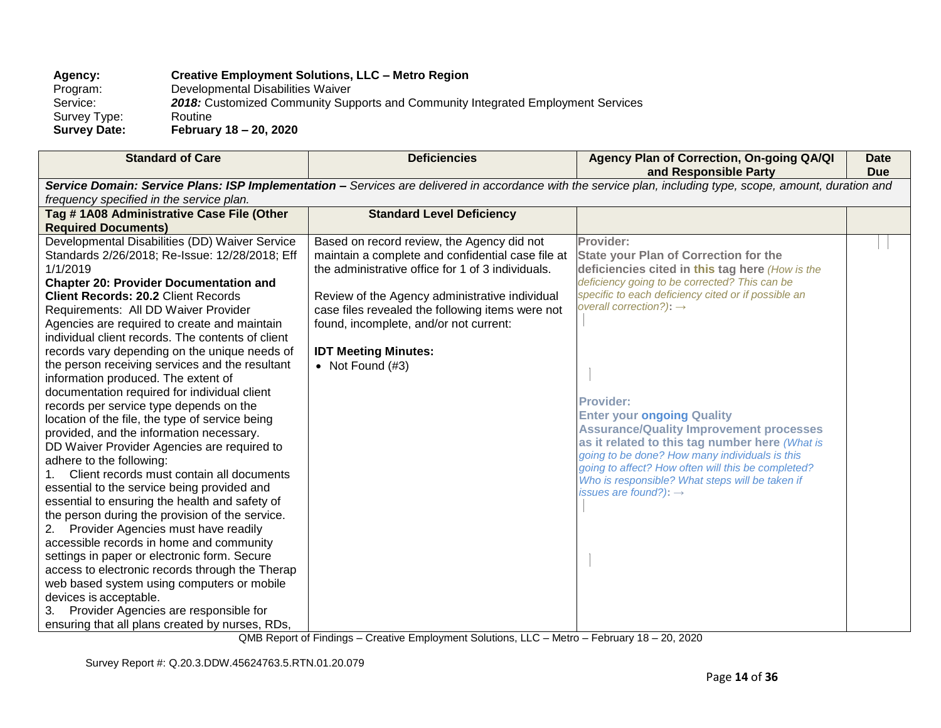## **Agency: Creative Employment Solutions, LLC – Metro Region**

Program: Developmental Disabilities Waiver<br>Service: 2018: Customized Community Sup 2018: Customized Community Supports and Community Integrated Employment Services Routine

Survey Type:<br>Survey Date: **Survey Date: February 18 – 20, 2020**

| <b>Standard of Care</b>                                                                                                                                     | <b>Deficiencies</b>                               | Agency Plan of Correction, On-going QA/QI<br>and Responsible Party                                   | <b>Date</b><br><b>Due</b> |  |  |  |
|-------------------------------------------------------------------------------------------------------------------------------------------------------------|---------------------------------------------------|------------------------------------------------------------------------------------------------------|---------------------------|--|--|--|
| Service Domain: Service Plans: ISP Implementation - Services are delivered in accordance with the service plan, including type, scope, amount, duration and |                                                   |                                                                                                      |                           |  |  |  |
| frequency specified in the service plan.                                                                                                                    |                                                   |                                                                                                      |                           |  |  |  |
| Tag #1A08 Administrative Case File (Other                                                                                                                   | <b>Standard Level Deficiency</b>                  |                                                                                                      |                           |  |  |  |
| <b>Required Documents)</b>                                                                                                                                  |                                                   |                                                                                                      |                           |  |  |  |
| Developmental Disabilities (DD) Waiver Service                                                                                                              | Based on record review, the Agency did not        | Provider:                                                                                            |                           |  |  |  |
| Standards 2/26/2018; Re-Issue: 12/28/2018; Eff                                                                                                              | maintain a complete and confidential case file at | <b>State your Plan of Correction for the</b>                                                         |                           |  |  |  |
| 1/1/2019                                                                                                                                                    | the administrative office for 1 of 3 individuals. | deficiencies cited in this tag here (How is the                                                      |                           |  |  |  |
| <b>Chapter 20: Provider Documentation and</b>                                                                                                               |                                                   | deficiency going to be corrected? This can be                                                        |                           |  |  |  |
| <b>Client Records: 20.2 Client Records</b>                                                                                                                  | Review of the Agency administrative individual    | specific to each deficiency cited or if possible an                                                  |                           |  |  |  |
| Requirements: All DD Waiver Provider                                                                                                                        | case files revealed the following items were not  | overall correction?): $\rightarrow$                                                                  |                           |  |  |  |
| Agencies are required to create and maintain                                                                                                                | found, incomplete, and/or not current:            |                                                                                                      |                           |  |  |  |
| individual client records. The contents of client                                                                                                           |                                                   |                                                                                                      |                           |  |  |  |
| records vary depending on the unique needs of                                                                                                               | <b>IDT Meeting Minutes:</b>                       |                                                                                                      |                           |  |  |  |
| the person receiving services and the resultant                                                                                                             | • Not Found $(H3)$                                |                                                                                                      |                           |  |  |  |
| information produced. The extent of                                                                                                                         |                                                   |                                                                                                      |                           |  |  |  |
| documentation required for individual client                                                                                                                |                                                   |                                                                                                      |                           |  |  |  |
| records per service type depends on the                                                                                                                     |                                                   | <b>Provider:</b>                                                                                     |                           |  |  |  |
| location of the file, the type of service being                                                                                                             |                                                   | <b>Enter your ongoing Quality</b>                                                                    |                           |  |  |  |
| provided, and the information necessary.                                                                                                                    |                                                   | <b>Assurance/Quality Improvement processes</b>                                                       |                           |  |  |  |
| DD Waiver Provider Agencies are required to                                                                                                                 |                                                   | as it related to this tag number here (What is                                                       |                           |  |  |  |
| adhere to the following:                                                                                                                                    |                                                   | going to be done? How many individuals is this<br>going to affect? How often will this be completed? |                           |  |  |  |
| Client records must contain all documents<br>1.                                                                                                             |                                                   | Who is responsible? What steps will be taken if                                                      |                           |  |  |  |
| essential to the service being provided and                                                                                                                 |                                                   | issues are found?): $\rightarrow$                                                                    |                           |  |  |  |
| essential to ensuring the health and safety of                                                                                                              |                                                   |                                                                                                      |                           |  |  |  |
| the person during the provision of the service.                                                                                                             |                                                   |                                                                                                      |                           |  |  |  |
| Provider Agencies must have readily<br>2.                                                                                                                   |                                                   |                                                                                                      |                           |  |  |  |
| accessible records in home and community                                                                                                                    |                                                   |                                                                                                      |                           |  |  |  |
| settings in paper or electronic form. Secure                                                                                                                |                                                   |                                                                                                      |                           |  |  |  |
| access to electronic records through the Therap                                                                                                             |                                                   |                                                                                                      |                           |  |  |  |
| web based system using computers or mobile                                                                                                                  |                                                   |                                                                                                      |                           |  |  |  |
| devices is acceptable.                                                                                                                                      |                                                   |                                                                                                      |                           |  |  |  |
| 3. Provider Agencies are responsible for                                                                                                                    |                                                   |                                                                                                      |                           |  |  |  |
| ensuring that all plans created by nurses, RDs,                                                                                                             |                                                   |                                                                                                      |                           |  |  |  |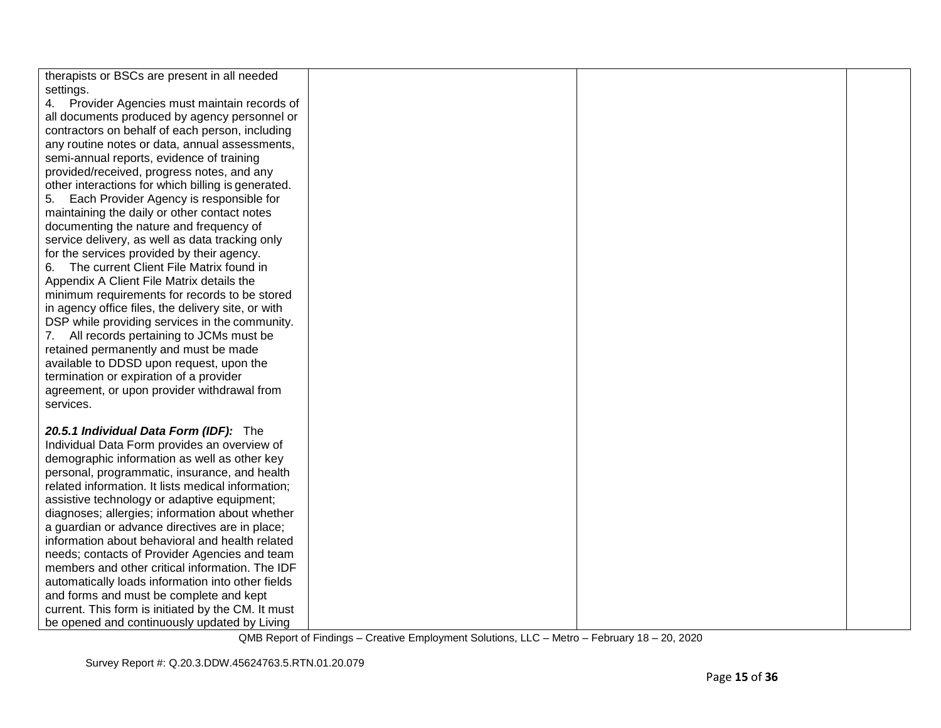| therapists or BSCs are present in all needed       |  |  |
|----------------------------------------------------|--|--|
| settings.                                          |  |  |
| 4. Provider Agencies must maintain records of      |  |  |
| all documents produced by agency personnel or      |  |  |
| contractors on behalf of each person, including    |  |  |
| any routine notes or data, annual assessments,     |  |  |
| semi-annual reports, evidence of training          |  |  |
| provided/received, progress notes, and any         |  |  |
| other interactions for which billing is generated. |  |  |
| 5. Each Provider Agency is responsible for         |  |  |
| maintaining the daily or other contact notes       |  |  |
| documenting the nature and frequency of            |  |  |
| service delivery, as well as data tracking only    |  |  |
| for the services provided by their agency.         |  |  |
| The current Client File Matrix found in<br>6.      |  |  |
| Appendix A Client File Matrix details the          |  |  |
| minimum requirements for records to be stored      |  |  |
| in agency office files, the delivery site, or with |  |  |
| DSP while providing services in the community.     |  |  |
| 7. All records pertaining to JCMs must be          |  |  |
| retained permanently and must be made              |  |  |
| available to DDSD upon request, upon the           |  |  |
| termination or expiration of a provider            |  |  |
| agreement, or upon provider withdrawal from        |  |  |
| services.                                          |  |  |
|                                                    |  |  |
| 20.5.1 Individual Data Form (IDF): The             |  |  |
| Individual Data Form provides an overview of       |  |  |
| demographic information as well as other key       |  |  |
| personal, programmatic, insurance, and health      |  |  |
| related information. It lists medical information; |  |  |
| assistive technology or adaptive equipment;        |  |  |
| diagnoses; allergies; information about whether    |  |  |
| a guardian or advance directives are in place;     |  |  |
| information about behavioral and health related    |  |  |
| needs; contacts of Provider Agencies and team      |  |  |
| members and other critical information. The IDF    |  |  |
| automatically loads information into other fields  |  |  |
| and forms and must be complete and kept            |  |  |
| current. This form is initiated by the CM. It must |  |  |
| be opened and continuously updated by Living       |  |  |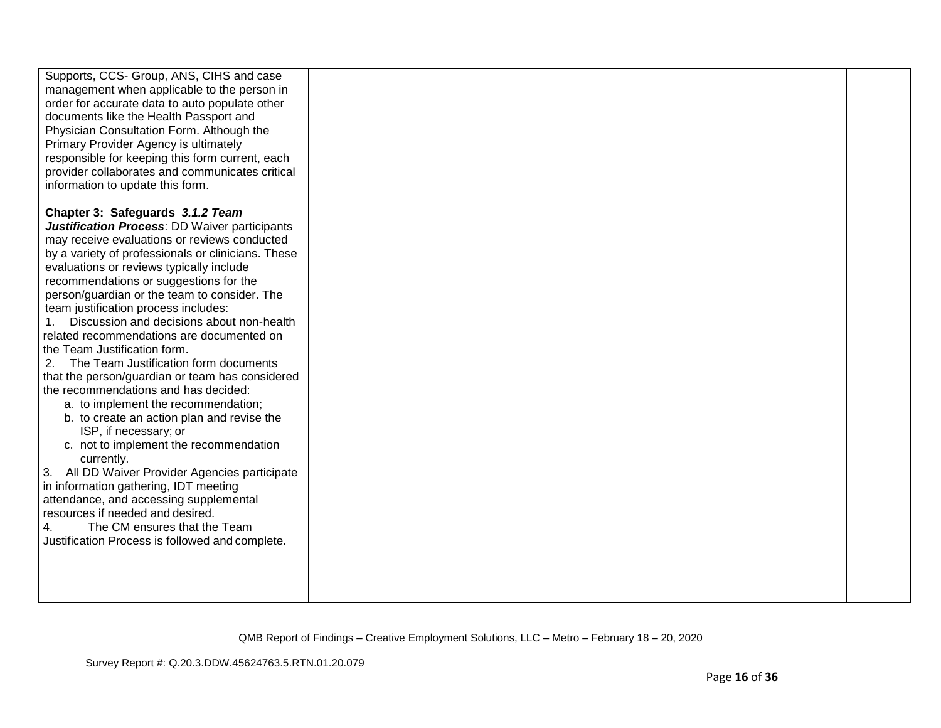| Supports, CCS- Group, ANS, CIHS and case<br>management when applicable to the person in<br>order for accurate data to auto populate other<br>documents like the Health Passport and<br>Physician Consultation Form. Although the<br>Primary Provider Agency is ultimately<br>responsible for keeping this form current, each<br>provider collaborates and communicates critical<br>information to update this form.                                                                                                                                                                                                                                                                                                                                                                                                                                                                                                                                                                                                                                                                |  |  |
|------------------------------------------------------------------------------------------------------------------------------------------------------------------------------------------------------------------------------------------------------------------------------------------------------------------------------------------------------------------------------------------------------------------------------------------------------------------------------------------------------------------------------------------------------------------------------------------------------------------------------------------------------------------------------------------------------------------------------------------------------------------------------------------------------------------------------------------------------------------------------------------------------------------------------------------------------------------------------------------------------------------------------------------------------------------------------------|--|--|
| Chapter 3: Safeguards 3.1.2 Team<br><b>Justification Process: DD Waiver participants</b><br>may receive evaluations or reviews conducted<br>by a variety of professionals or clinicians. These<br>evaluations or reviews typically include<br>recommendations or suggestions for the<br>person/guardian or the team to consider. The<br>team justification process includes:<br>Discussion and decisions about non-health<br>related recommendations are documented on<br>the Team Justification form.<br>2.<br>The Team Justification form documents<br>that the person/guardian or team has considered<br>the recommendations and has decided:<br>a. to implement the recommendation;<br>b. to create an action plan and revise the<br>ISP, if necessary; or<br>c. not to implement the recommendation<br>currently.<br>3. All DD Waiver Provider Agencies participate<br>in information gathering, IDT meeting<br>attendance, and accessing supplemental<br>resources if needed and desired.<br>The CM ensures that the Team<br>Justification Process is followed and complete. |  |  |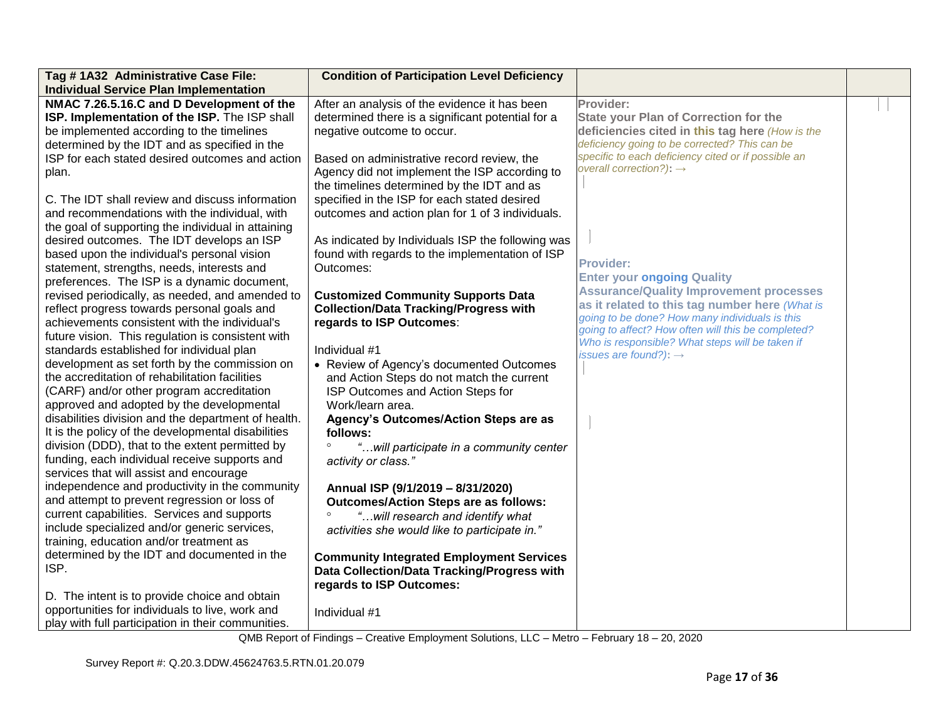| Tag #1A32 Administrative Case File:<br><b>Individual Service Plan Implementation</b> | <b>Condition of Participation Level Deficiency</b> |                                                                                      |  |
|--------------------------------------------------------------------------------------|----------------------------------------------------|--------------------------------------------------------------------------------------|--|
| NMAC 7.26.5.16.C and D Development of the                                            | After an analysis of the evidence it has been      | Provider:                                                                            |  |
| ISP. Implementation of the ISP. The ISP shall                                        | determined there is a significant potential for a  | <b>State your Plan of Correction for the</b>                                         |  |
| be implemented according to the timelines                                            | negative outcome to occur.                         | deficiencies cited in this tag here (How is the                                      |  |
| determined by the IDT and as specified in the                                        |                                                    | deficiency going to be corrected? This can be                                        |  |
| ISP for each stated desired outcomes and action                                      | Based on administrative record review, the         | specific to each deficiency cited or if possible an                                  |  |
| plan.                                                                                | Agency did not implement the ISP according to      | overall correction?): $\rightarrow$                                                  |  |
|                                                                                      | the timelines determined by the IDT and as         |                                                                                      |  |
| C. The IDT shall review and discuss information                                      | specified in the ISP for each stated desired       |                                                                                      |  |
| and recommendations with the individual, with                                        | outcomes and action plan for 1 of 3 individuals.   |                                                                                      |  |
| the goal of supporting the individual in attaining                                   |                                                    |                                                                                      |  |
| desired outcomes. The IDT develops an ISP                                            | As indicated by Individuals ISP the following was  |                                                                                      |  |
| based upon the individual's personal vision                                          | found with regards to the implementation of ISP    |                                                                                      |  |
| statement, strengths, needs, interests and                                           | Outcomes:                                          | <b>Provider:</b>                                                                     |  |
| preferences. The ISP is a dynamic document,                                          |                                                    | <b>Enter your ongoing Quality</b>                                                    |  |
| revised periodically, as needed, and amended to                                      | <b>Customized Community Supports Data</b>          | <b>Assurance/Quality Improvement processes</b>                                       |  |
| reflect progress towards personal goals and                                          | <b>Collection/Data Tracking/Progress with</b>      | as it related to this tag number here (What is                                       |  |
| achievements consistent with the individual's                                        | regards to ISP Outcomes:                           | going to be done? How many individuals is this                                       |  |
| future vision. This regulation is consistent with                                    |                                                    | going to affect? How often will this be completed?                                   |  |
| standards established for individual plan                                            | Individual #1                                      | Who is responsible? What steps will be taken if<br>issues are found?): $\rightarrow$ |  |
| development as set forth by the commission on                                        | • Review of Agency's documented Outcomes           |                                                                                      |  |
| the accreditation of rehabilitation facilities                                       | and Action Steps do not match the current          |                                                                                      |  |
| (CARF) and/or other program accreditation                                            | ISP Outcomes and Action Steps for                  |                                                                                      |  |
| approved and adopted by the developmental                                            | Work/learn area.                                   |                                                                                      |  |
| disabilities division and the department of health.                                  | Agency's Outcomes/Action Steps are as              |                                                                                      |  |
| It is the policy of the developmental disabilities                                   | follows:                                           |                                                                                      |  |
| division (DDD), that to the extent permitted by                                      | "will participate in a community center            |                                                                                      |  |
| funding, each individual receive supports and                                        | activity or class."                                |                                                                                      |  |
| services that will assist and encourage                                              |                                                    |                                                                                      |  |
| independence and productivity in the community                                       | Annual ISP (9/1/2019 - 8/31/2020)                  |                                                                                      |  |
| and attempt to prevent regression or loss of                                         | <b>Outcomes/Action Steps are as follows:</b>       |                                                                                      |  |
| current capabilities. Services and supports                                          | "will research and identify what                   |                                                                                      |  |
| include specialized and/or generic services,                                         | activities she would like to participate in."      |                                                                                      |  |
| training, education and/or treatment as                                              |                                                    |                                                                                      |  |
| determined by the IDT and documented in the                                          | <b>Community Integrated Employment Services</b>    |                                                                                      |  |
| ISP.                                                                                 | Data Collection/Data Tracking/Progress with        |                                                                                      |  |
|                                                                                      | regards to ISP Outcomes:                           |                                                                                      |  |
| D. The intent is to provide choice and obtain                                        |                                                    |                                                                                      |  |
| opportunities for individuals to live, work and                                      | Individual #1                                      |                                                                                      |  |
| play with full participation in their communities.                                   |                                                    |                                                                                      |  |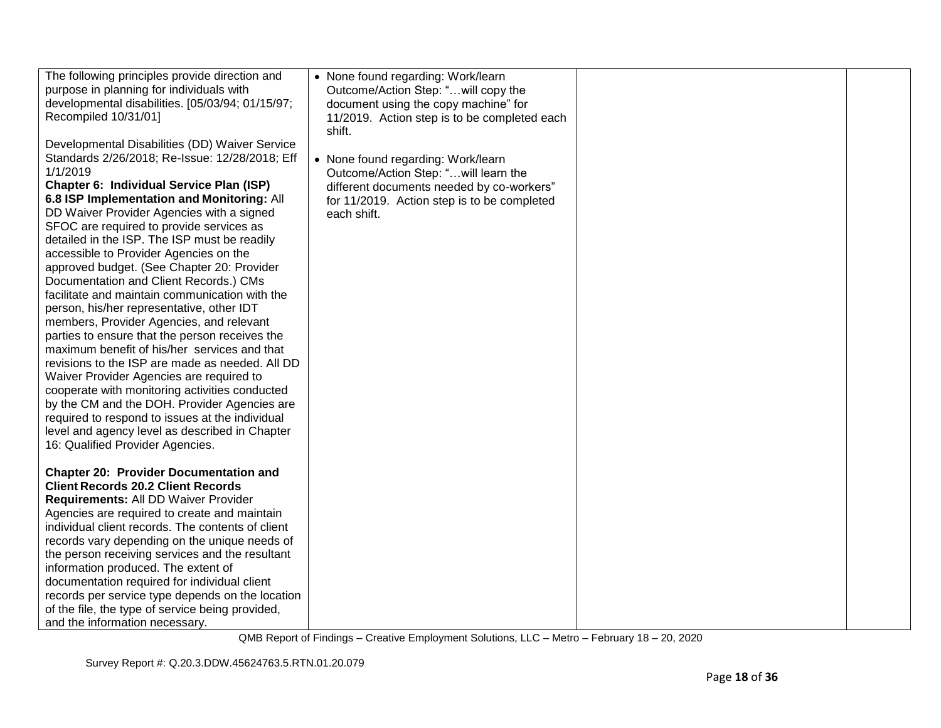| The following principles provide direction and<br>purpose in planning for individuals with<br>developmental disabilities. [05/03/94; 01/15/97;<br>Recompiled 10/31/01]<br>Developmental Disabilities (DD) Waiver Service<br>Standards 2/26/2018; Re-Issue: 12/28/2018; Eff<br>1/1/2019<br>Chapter 6: Individual Service Plan (ISP)<br>6.8 ISP Implementation and Monitoring: All<br>DD Waiver Provider Agencies with a signed<br>SFOC are required to provide services as<br>detailed in the ISP. The ISP must be readily<br>accessible to Provider Agencies on the<br>approved budget. (See Chapter 20: Provider<br>Documentation and Client Records.) CMs<br>facilitate and maintain communication with the<br>person, his/her representative, other IDT<br>members, Provider Agencies, and relevant<br>parties to ensure that the person receives the<br>maximum benefit of his/her services and that<br>revisions to the ISP are made as needed. All DD<br>Waiver Provider Agencies are required to<br>cooperate with monitoring activities conducted<br>by the CM and the DOH. Provider Agencies are<br>required to respond to issues at the individual<br>level and agency level as described in Chapter<br>16: Qualified Provider Agencies. | • None found regarding: Work/learn<br>Outcome/Action Step: "will copy the<br>document using the copy machine" for<br>11/2019. Action step is to be completed each<br>shift.<br>• None found regarding: Work/learn<br>Outcome/Action Step: " will learn the<br>different documents needed by co-workers"<br>for 11/2019. Action step is to be completed<br>each shift. |  |
|----------------------------------------------------------------------------------------------------------------------------------------------------------------------------------------------------------------------------------------------------------------------------------------------------------------------------------------------------------------------------------------------------------------------------------------------------------------------------------------------------------------------------------------------------------------------------------------------------------------------------------------------------------------------------------------------------------------------------------------------------------------------------------------------------------------------------------------------------------------------------------------------------------------------------------------------------------------------------------------------------------------------------------------------------------------------------------------------------------------------------------------------------------------------------------------------------------------------------------------------------|-----------------------------------------------------------------------------------------------------------------------------------------------------------------------------------------------------------------------------------------------------------------------------------------------------------------------------------------------------------------------|--|
| <b>Chapter 20: Provider Documentation and</b><br><b>Client Records 20.2 Client Records</b><br>Requirements: All DD Waiver Provider<br>Agencies are required to create and maintain<br>individual client records. The contents of client<br>records vary depending on the unique needs of<br>the person receiving services and the resultant<br>information produced. The extent of<br>documentation required for individual client<br>records per service type depends on the location<br>of the file, the type of service being provided,<br>and the information necessary.                                                                                                                                                                                                                                                                                                                                                                                                                                                                                                                                                                                                                                                                       |                                                                                                                                                                                                                                                                                                                                                                       |  |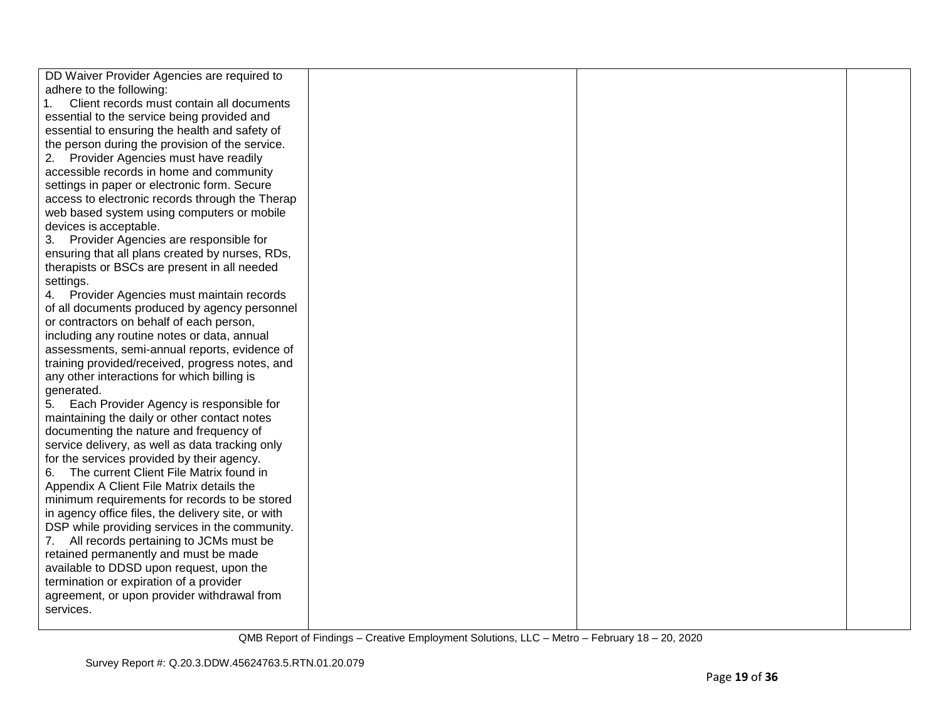| DD Waiver Provider Agencies are required to        |  |  |
|----------------------------------------------------|--|--|
| adhere to the following:                           |  |  |
| Client records must contain all documents<br>1.    |  |  |
| essential to the service being provided and        |  |  |
| essential to ensuring the health and safety of     |  |  |
| the person during the provision of the service.    |  |  |
| 2. Provider Agencies must have readily             |  |  |
| accessible records in home and community           |  |  |
| settings in paper or electronic form. Secure       |  |  |
| access to electronic records through the Therap    |  |  |
| web based system using computers or mobile         |  |  |
| devices is acceptable.                             |  |  |
| 3. Provider Agencies are responsible for           |  |  |
| ensuring that all plans created by nurses, RDs,    |  |  |
| therapists or BSCs are present in all needed       |  |  |
| settings.                                          |  |  |
| 4. Provider Agencies must maintain records         |  |  |
| of all documents produced by agency personnel      |  |  |
| or contractors on behalf of each person,           |  |  |
| including any routine notes or data, annual        |  |  |
| assessments, semi-annual reports, evidence of      |  |  |
| training provided/received, progress notes, and    |  |  |
| any other interactions for which billing is        |  |  |
| generated.                                         |  |  |
| 5. Each Provider Agency is responsible for         |  |  |
| maintaining the daily or other contact notes       |  |  |
| documenting the nature and frequency of            |  |  |
| service delivery, as well as data tracking only    |  |  |
| for the services provided by their agency.         |  |  |
| 6. The current Client File Matrix found in         |  |  |
| Appendix A Client File Matrix details the          |  |  |
| minimum requirements for records to be stored      |  |  |
| in agency office files, the delivery site, or with |  |  |
| DSP while providing services in the community.     |  |  |
| 7. All records pertaining to JCMs must be          |  |  |
| retained permanently and must be made              |  |  |
| available to DDSD upon request, upon the           |  |  |
| termination or expiration of a provider            |  |  |
| agreement, or upon provider withdrawal from        |  |  |
| services.                                          |  |  |
|                                                    |  |  |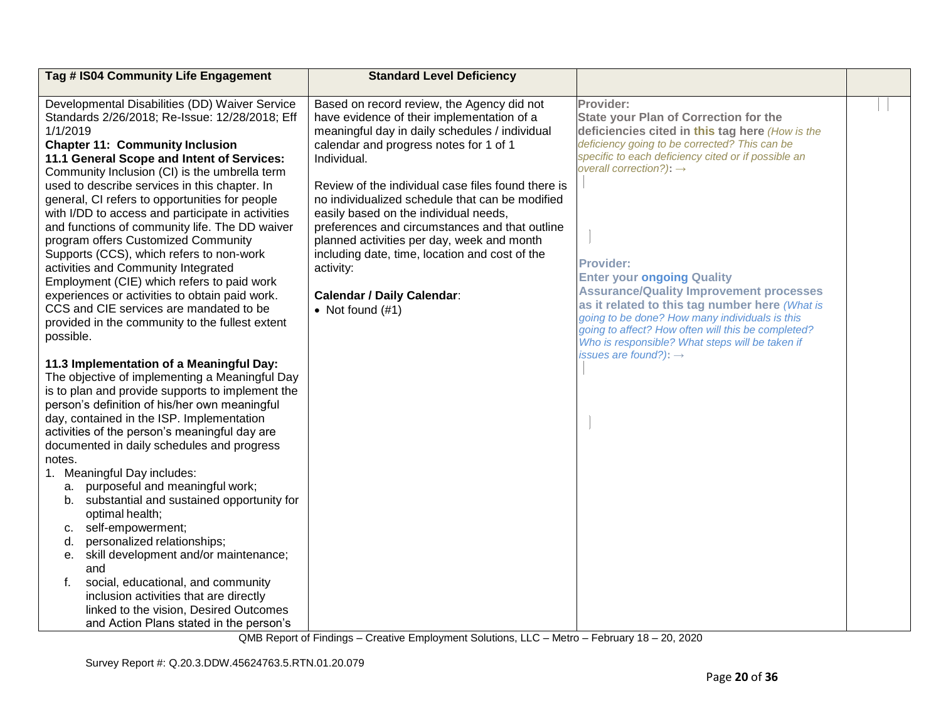| Tag # IS04 Community Life Engagement                                                             | <b>Standard Level Deficiency</b>                                                         |                                                                                                      |  |
|--------------------------------------------------------------------------------------------------|------------------------------------------------------------------------------------------|------------------------------------------------------------------------------------------------------|--|
|                                                                                                  |                                                                                          |                                                                                                      |  |
| Developmental Disabilities (DD) Waiver Service<br>Standards 2/26/2018; Re-Issue: 12/28/2018; Eff | Based on record review, the Agency did not<br>have evidence of their implementation of a | Provider:<br><b>State your Plan of Correction for the</b>                                            |  |
| 1/1/2019                                                                                         | meaningful day in daily schedules / individual                                           | deficiencies cited in this tag here (How is the                                                      |  |
| <b>Chapter 11: Community Inclusion</b>                                                           | calendar and progress notes for 1 of 1                                                   | deficiency going to be corrected? This can be                                                        |  |
| 11.1 General Scope and Intent of Services:                                                       | Individual.                                                                              | specific to each deficiency cited or if possible an                                                  |  |
| Community Inclusion (CI) is the umbrella term                                                    |                                                                                          | overall correction?): $\rightarrow$                                                                  |  |
| used to describe services in this chapter. In                                                    | Review of the individual case files found there is                                       |                                                                                                      |  |
| general, CI refers to opportunities for people                                                   | no individualized schedule that can be modified                                          |                                                                                                      |  |
| with I/DD to access and participate in activities                                                | easily based on the individual needs,                                                    |                                                                                                      |  |
| and functions of community life. The DD waiver                                                   | preferences and circumstances and that outline                                           |                                                                                                      |  |
| program offers Customized Community                                                              | planned activities per day, week and month                                               |                                                                                                      |  |
| Supports (CCS), which refers to non-work                                                         | including date, time, location and cost of the                                           |                                                                                                      |  |
| activities and Community Integrated                                                              | activity:                                                                                | <b>Provider:</b>                                                                                     |  |
| Employment (CIE) which refers to paid work                                                       |                                                                                          | <b>Enter your ongoing Quality</b>                                                                    |  |
| experiences or activities to obtain paid work.                                                   | <b>Calendar / Daily Calendar:</b>                                                        | <b>Assurance/Quality Improvement processes</b>                                                       |  |
| CCS and CIE services are mandated to be                                                          | • Not found $(\#1)$                                                                      | as it related to this tag number here (What is                                                       |  |
| provided in the community to the fullest extent                                                  |                                                                                          | going to be done? How many individuals is this<br>going to affect? How often will this be completed? |  |
| possible.                                                                                        |                                                                                          | Who is responsible? What steps will be taken if                                                      |  |
|                                                                                                  |                                                                                          | issues are found?): $\rightarrow$                                                                    |  |
| 11.3 Implementation of a Meaningful Day:                                                         |                                                                                          |                                                                                                      |  |
| The objective of implementing a Meaningful Day                                                   |                                                                                          |                                                                                                      |  |
| is to plan and provide supports to implement the                                                 |                                                                                          |                                                                                                      |  |
| person's definition of his/her own meaningful                                                    |                                                                                          |                                                                                                      |  |
| day, contained in the ISP. Implementation                                                        |                                                                                          |                                                                                                      |  |
| activities of the person's meaningful day are                                                    |                                                                                          |                                                                                                      |  |
| documented in daily schedules and progress                                                       |                                                                                          |                                                                                                      |  |
| notes.<br>1. Meaningful Day includes:                                                            |                                                                                          |                                                                                                      |  |
| a. purposeful and meaningful work;                                                               |                                                                                          |                                                                                                      |  |
| b. substantial and sustained opportunity for                                                     |                                                                                          |                                                                                                      |  |
| optimal health;                                                                                  |                                                                                          |                                                                                                      |  |
| self-empowerment;<br>c.                                                                          |                                                                                          |                                                                                                      |  |
| personalized relationships;<br>d.                                                                |                                                                                          |                                                                                                      |  |
| e. skill development and/or maintenance;                                                         |                                                                                          |                                                                                                      |  |
| and                                                                                              |                                                                                          |                                                                                                      |  |
| social, educational, and community<br>f.                                                         |                                                                                          |                                                                                                      |  |
| inclusion activities that are directly                                                           |                                                                                          |                                                                                                      |  |
| linked to the vision, Desired Outcomes                                                           |                                                                                          |                                                                                                      |  |
| and Action Plans stated in the person's                                                          |                                                                                          |                                                                                                      |  |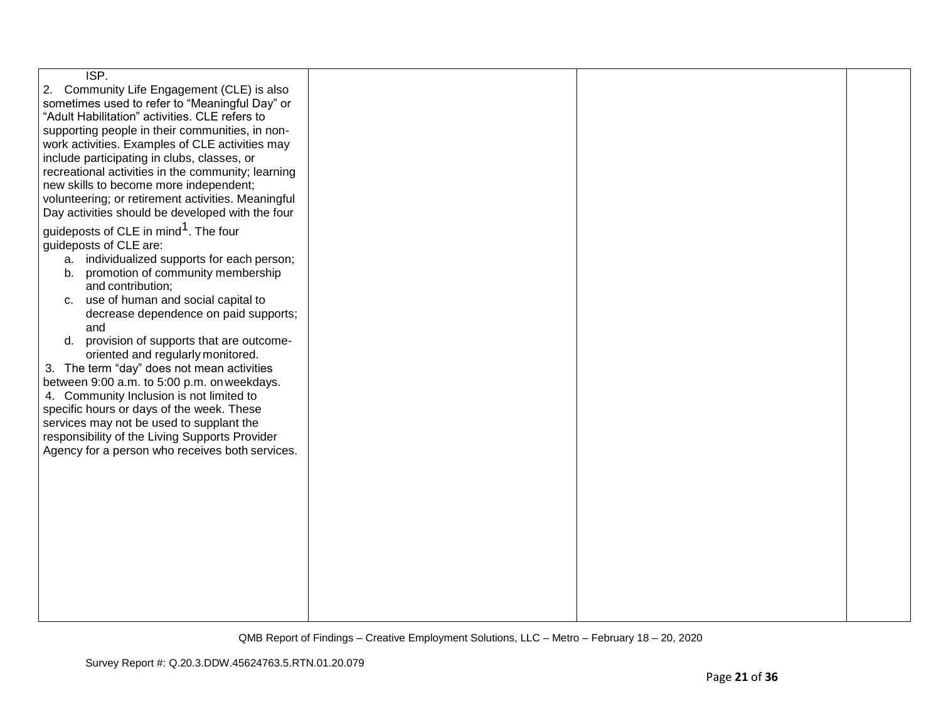| ISP.<br>2. Community Life Engagement (CLE) is also<br>sometimes used to refer to "Meaningful Day" or<br>"Adult Habilitation" activities. CLE refers to<br>supporting people in their communities, in non-<br>work activities. Examples of CLE activities may<br>include participating in clubs, classes, or<br>recreational activities in the community; learning<br>new skills to become more independent;<br>volunteering; or retirement activities. Meaningful<br>Day activities should be developed with the four<br>guideposts of CLE in mind <sup>1</sup> . The four<br>guideposts of CLE are:<br>a. individualized supports for each person;<br>promotion of community membership<br>b.<br>and contribution;<br>c. use of human and social capital to<br>decrease dependence on paid supports;<br>and<br>provision of supports that are outcome-<br>d.<br>oriented and regularly monitored.<br>3. The term "day" does not mean activities<br>between 9:00 a.m. to 5:00 p.m. on weekdays.<br>4. Community Inclusion is not limited to<br>specific hours or days of the week. These<br>services may not be used to supplant the<br>responsibility of the Living Supports Provider<br>Agency for a person who receives both services. |  |  |
|-------------------------------------------------------------------------------------------------------------------------------------------------------------------------------------------------------------------------------------------------------------------------------------------------------------------------------------------------------------------------------------------------------------------------------------------------------------------------------------------------------------------------------------------------------------------------------------------------------------------------------------------------------------------------------------------------------------------------------------------------------------------------------------------------------------------------------------------------------------------------------------------------------------------------------------------------------------------------------------------------------------------------------------------------------------------------------------------------------------------------------------------------------------------------------------------------------------------------------------------|--|--|
|                                                                                                                                                                                                                                                                                                                                                                                                                                                                                                                                                                                                                                                                                                                                                                                                                                                                                                                                                                                                                                                                                                                                                                                                                                           |  |  |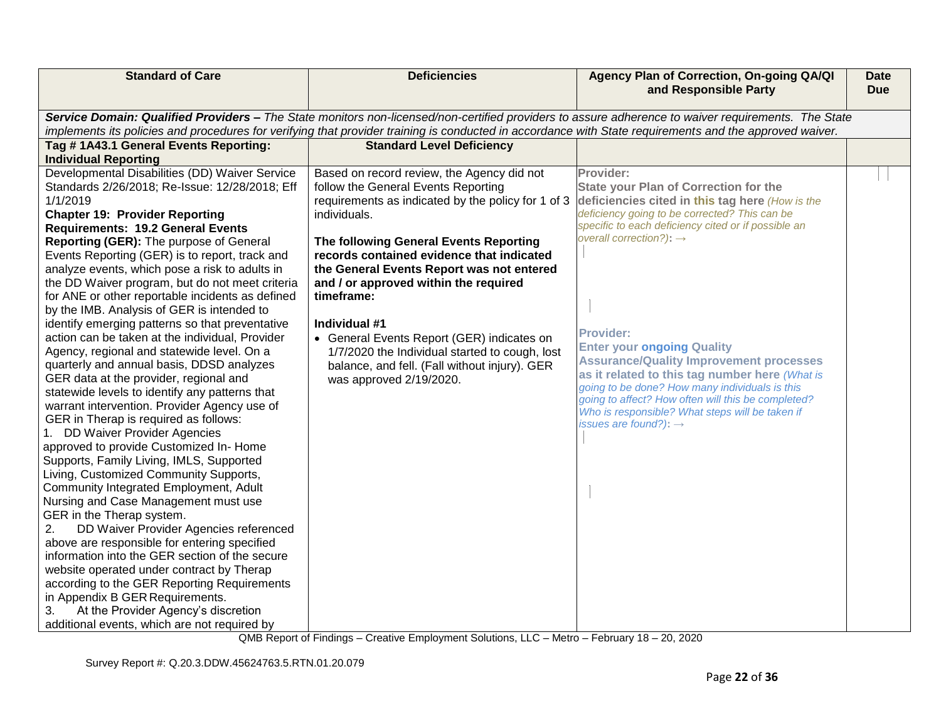| <b>Standard of Care</b>                                                                                                                                                                                                                                                                                                                                                                                                                                                                                                                                                                                                                                                                                                                                                                                                                                                                                                                                                                                                                                                                                                                                                                                                                                                                                    | <b>Deficiencies</b>                                                                                                                                                                                                                                                                                                                                                                              | Agency Plan of Correction, On-going QA/QI<br>and Responsible Party                                                                                                                                                                                                                                                                                                                                                 | <b>Date</b><br><b>Due</b> |
|------------------------------------------------------------------------------------------------------------------------------------------------------------------------------------------------------------------------------------------------------------------------------------------------------------------------------------------------------------------------------------------------------------------------------------------------------------------------------------------------------------------------------------------------------------------------------------------------------------------------------------------------------------------------------------------------------------------------------------------------------------------------------------------------------------------------------------------------------------------------------------------------------------------------------------------------------------------------------------------------------------------------------------------------------------------------------------------------------------------------------------------------------------------------------------------------------------------------------------------------------------------------------------------------------------|--------------------------------------------------------------------------------------------------------------------------------------------------------------------------------------------------------------------------------------------------------------------------------------------------------------------------------------------------------------------------------------------------|--------------------------------------------------------------------------------------------------------------------------------------------------------------------------------------------------------------------------------------------------------------------------------------------------------------------------------------------------------------------------------------------------------------------|---------------------------|
| Tag #1A43.1 General Events Reporting:<br><b>Individual Reporting</b><br>Developmental Disabilities (DD) Waiver Service<br>Standards 2/26/2018; Re-Issue: 12/28/2018; Eff<br>1/1/2019<br><b>Chapter 19: Provider Reporting</b><br><b>Requirements: 19.2 General Events</b><br>Reporting (GER): The purpose of General                                                                                                                                                                                                                                                                                                                                                                                                                                                                                                                                                                                                                                                                                                                                                                                                                                                                                                                                                                                       | implements its policies and procedures for verifying that provider training is conducted in accordance with State requirements and the approved waiver.<br><b>Standard Level Deficiency</b><br>Based on record review, the Agency did not<br>follow the General Events Reporting<br>requirements as indicated by the policy for 1 of 3<br>individuals.<br>The following General Events Reporting | Service Domain: Qualified Providers - The State monitors non-licensed/non-certified providers to assure adherence to waiver requirements. The State<br>Provider:<br><b>State your Plan of Correction for the</b><br>deficiencies cited in this tag here (How is the<br>deficiency going to be corrected? This can be<br>specific to each deficiency cited or if possible an<br>overall correction?): $\rightarrow$ |                           |
| Events Reporting (GER) is to report, track and<br>analyze events, which pose a risk to adults in<br>the DD Waiver program, but do not meet criteria<br>for ANE or other reportable incidents as defined<br>by the IMB. Analysis of GER is intended to<br>identify emerging patterns so that preventative<br>action can be taken at the individual, Provider<br>Agency, regional and statewide level. On a<br>quarterly and annual basis, DDSD analyzes<br>GER data at the provider, regional and<br>statewide levels to identify any patterns that<br>warrant intervention. Provider Agency use of<br>GER in Therap is required as follows:<br>1. DD Waiver Provider Agencies<br>approved to provide Customized In-Home<br>Supports, Family Living, IMLS, Supported<br>Living, Customized Community Supports,<br>Community Integrated Employment, Adult<br>Nursing and Case Management must use<br>GER in the Therap system.<br>DD Waiver Provider Agencies referenced<br>2.<br>above are responsible for entering specified<br>information into the GER section of the secure<br>website operated under contract by Therap<br>according to the GER Reporting Requirements<br>in Appendix B GER Requirements.<br>At the Provider Agency's discretion<br>3.<br>additional events, which are not required by | records contained evidence that indicated<br>the General Events Report was not entered<br>and / or approved within the required<br>timeframe:<br>Individual #1<br>• General Events Report (GER) indicates on<br>1/7/2020 the Individual started to cough, lost<br>balance, and fell. (Fall without injury). GER<br>was approved 2/19/2020.                                                       | <b>Provider:</b><br><b>Enter your ongoing Quality</b><br><b>Assurance/Quality Improvement processes</b><br>as it related to this tag number here (What is<br>going to be done? How many individuals is this<br>going to affect? How often will this be completed?<br>Who is responsible? What steps will be taken if<br>issues are found?): $\rightarrow$                                                          |                           |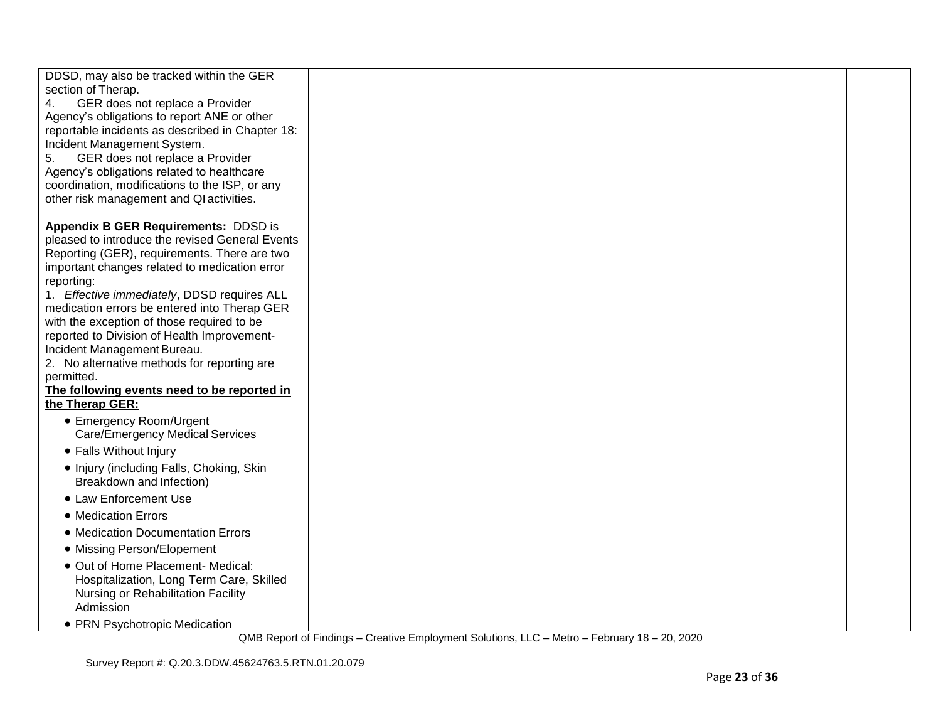| DDSD, may also be tracked within the GER                                                        |  |  |
|-------------------------------------------------------------------------------------------------|--|--|
| section of Therap.                                                                              |  |  |
| GER does not replace a Provider<br>4.                                                           |  |  |
| Agency's obligations to report ANE or other<br>reportable incidents as described in Chapter 18: |  |  |
| Incident Management System.                                                                     |  |  |
| GER does not replace a Provider<br>5.                                                           |  |  |
| Agency's obligations related to healthcare                                                      |  |  |
| coordination, modifications to the ISP, or any                                                  |  |  |
| other risk management and QI activities.                                                        |  |  |
| <b>Appendix B GER Requirements: DDSD is</b>                                                     |  |  |
| pleased to introduce the revised General Events                                                 |  |  |
| Reporting (GER), requirements. There are two                                                    |  |  |
| important changes related to medication error                                                   |  |  |
| reporting:                                                                                      |  |  |
| 1. Effective immediately, DDSD requires ALL<br>medication errors be entered into Therap GER     |  |  |
| with the exception of those required to be                                                      |  |  |
| reported to Division of Health Improvement-                                                     |  |  |
| Incident Management Bureau.                                                                     |  |  |
| 2. No alternative methods for reporting are                                                     |  |  |
| permitted.                                                                                      |  |  |
| The following events need to be reported in<br>the Therap GER:                                  |  |  |
| • Emergency Room/Urgent                                                                         |  |  |
| <b>Care/Emergency Medical Services</b>                                                          |  |  |
| • Falls Without Injury                                                                          |  |  |
| • Injury (including Falls, Choking, Skin                                                        |  |  |
| Breakdown and Infection)                                                                        |  |  |
| • Law Enforcement Use                                                                           |  |  |
| • Medication Errors                                                                             |  |  |
| • Medication Documentation Errors                                                               |  |  |
| • Missing Person/Elopement                                                                      |  |  |
| • Out of Home Placement- Medical:                                                               |  |  |
| Hospitalization, Long Term Care, Skilled                                                        |  |  |
| Nursing or Rehabilitation Facility<br>Admission                                                 |  |  |
|                                                                                                 |  |  |
| • PRN Psychotropic Medication                                                                   |  |  |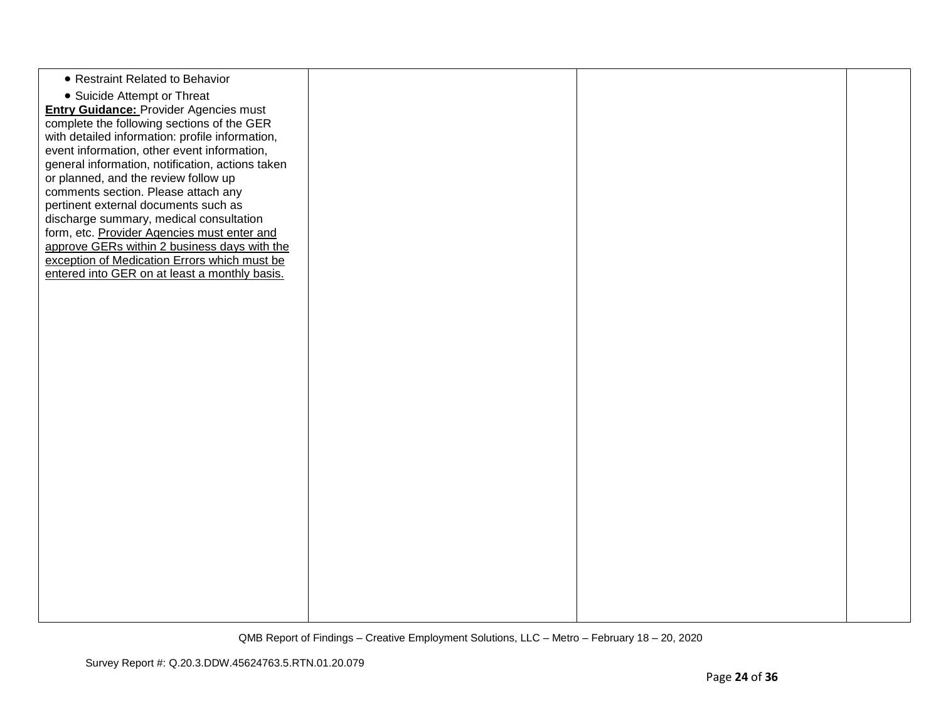| • Restraint Related to Behavior                  |  |  |
|--------------------------------------------------|--|--|
|                                                  |  |  |
| • Suicide Attempt or Threat                      |  |  |
| <b>Entry Guidance: Provider Agencies must</b>    |  |  |
| complete the following sections of the GER       |  |  |
| with detailed information: profile information,  |  |  |
| event information, other event information,      |  |  |
| general information, notification, actions taken |  |  |
| or planned, and the review follow up             |  |  |
| comments section. Please attach any              |  |  |
| pertinent external documents such as             |  |  |
| discharge summary, medical consultation          |  |  |
| form, etc. Provider Agencies must enter and      |  |  |
| approve GERs within 2 business days with the     |  |  |
| exception of Medication Errors which must be     |  |  |
| entered into GER on at least a monthly basis.    |  |  |
|                                                  |  |  |
|                                                  |  |  |
|                                                  |  |  |
|                                                  |  |  |
|                                                  |  |  |
|                                                  |  |  |
|                                                  |  |  |
|                                                  |  |  |
|                                                  |  |  |
|                                                  |  |  |
|                                                  |  |  |
|                                                  |  |  |
|                                                  |  |  |
|                                                  |  |  |
|                                                  |  |  |
|                                                  |  |  |
|                                                  |  |  |
|                                                  |  |  |
|                                                  |  |  |
|                                                  |  |  |
|                                                  |  |  |
|                                                  |  |  |
|                                                  |  |  |
|                                                  |  |  |
|                                                  |  |  |
|                                                  |  |  |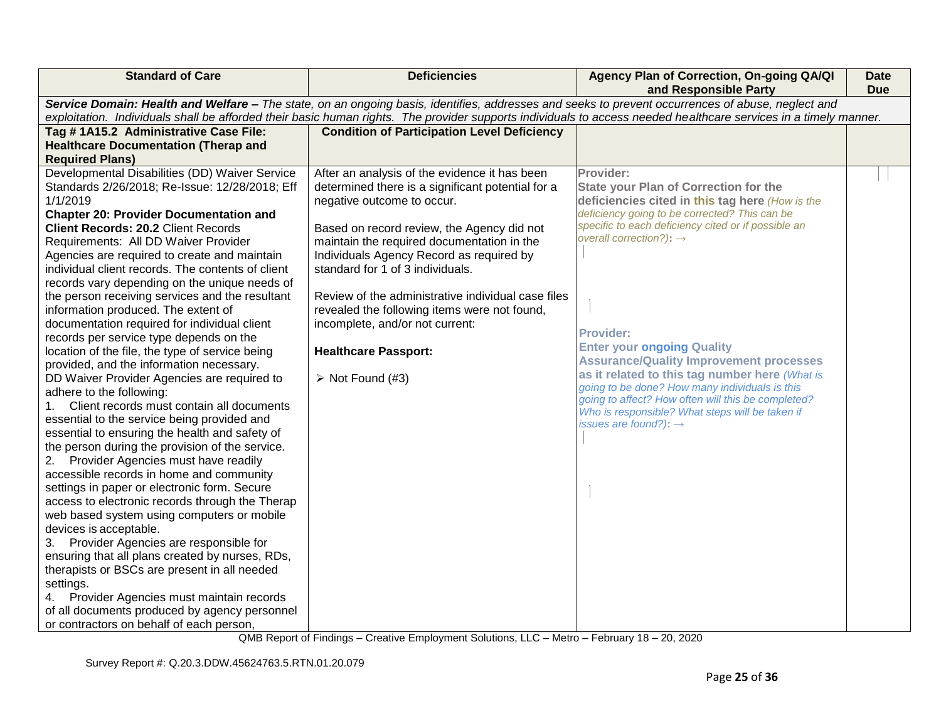| <b>Standard of Care</b>                                                                                                                                          | <b>Deficiencies</b>                                | Agency Plan of Correction, On-going QA/QI<br>and Responsible Party                                    | <b>Date</b><br><b>Due</b> |  |
|------------------------------------------------------------------------------------------------------------------------------------------------------------------|----------------------------------------------------|-------------------------------------------------------------------------------------------------------|---------------------------|--|
| Service Domain: Health and Welfare - The state, on an ongoing basis, identifies, addresses and seeks to prevent occurrences of abuse, neglect and                |                                                    |                                                                                                       |                           |  |
| exploitation. Individuals shall be afforded their basic human rights. The provider supports individuals to access needed healthcare services in a timely manner. |                                                    |                                                                                                       |                           |  |
| Tag #1A15.2 Administrative Case File:                                                                                                                            | <b>Condition of Participation Level Deficiency</b> |                                                                                                       |                           |  |
| <b>Healthcare Documentation (Therap and</b>                                                                                                                      |                                                    |                                                                                                       |                           |  |
| <b>Required Plans)</b>                                                                                                                                           |                                                    |                                                                                                       |                           |  |
| Developmental Disabilities (DD) Waiver Service                                                                                                                   | After an analysis of the evidence it has been      | Provider:                                                                                             |                           |  |
| Standards 2/26/2018; Re-Issue: 12/28/2018; Eff                                                                                                                   | determined there is a significant potential for a  | <b>State your Plan of Correction for the</b>                                                          |                           |  |
| 1/1/2019                                                                                                                                                         | negative outcome to occur.                         | deficiencies cited in this tag here (How is the                                                       |                           |  |
| <b>Chapter 20: Provider Documentation and</b>                                                                                                                    |                                                    | deficiency going to be corrected? This can be                                                         |                           |  |
| <b>Client Records: 20.2 Client Records</b>                                                                                                                       | Based on record review, the Agency did not         | specific to each deficiency cited or if possible an                                                   |                           |  |
| Requirements: All DD Waiver Provider                                                                                                                             | maintain the required documentation in the         | overall correction?): $\rightarrow$                                                                   |                           |  |
| Agencies are required to create and maintain                                                                                                                     | Individuals Agency Record as required by           |                                                                                                       |                           |  |
| individual client records. The contents of client                                                                                                                | standard for 1 of 3 individuals.                   |                                                                                                       |                           |  |
| records vary depending on the unique needs of                                                                                                                    |                                                    |                                                                                                       |                           |  |
| the person receiving services and the resultant                                                                                                                  | Review of the administrative individual case files |                                                                                                       |                           |  |
| information produced. The extent of                                                                                                                              | revealed the following items were not found,       |                                                                                                       |                           |  |
| documentation required for individual client                                                                                                                     | incomplete, and/or not current:                    |                                                                                                       |                           |  |
| records per service type depends on the                                                                                                                          |                                                    | <b>Provider:</b>                                                                                      |                           |  |
| location of the file, the type of service being                                                                                                                  | <b>Healthcare Passport:</b>                        | <b>Enter your ongoing Quality</b>                                                                     |                           |  |
| provided, and the information necessary.                                                                                                                         |                                                    | <b>Assurance/Quality Improvement processes</b>                                                        |                           |  |
| DD Waiver Provider Agencies are required to                                                                                                                      | $\triangleright$ Not Found (#3)                    | as it related to this tag number here (What is                                                        |                           |  |
| adhere to the following:                                                                                                                                         |                                                    | going to be done? How many individuals is this                                                        |                           |  |
| Client records must contain all documents                                                                                                                        |                                                    | going to affect? How often will this be completed?<br>Who is responsible? What steps will be taken if |                           |  |
| essential to the service being provided and                                                                                                                      |                                                    | issues are found?): $\rightarrow$                                                                     |                           |  |
| essential to ensuring the health and safety of                                                                                                                   |                                                    |                                                                                                       |                           |  |
| the person during the provision of the service.                                                                                                                  |                                                    |                                                                                                       |                           |  |
| 2. Provider Agencies must have readily                                                                                                                           |                                                    |                                                                                                       |                           |  |
| accessible records in home and community                                                                                                                         |                                                    |                                                                                                       |                           |  |
| settings in paper or electronic form. Secure                                                                                                                     |                                                    |                                                                                                       |                           |  |
| access to electronic records through the Therap                                                                                                                  |                                                    |                                                                                                       |                           |  |
| web based system using computers or mobile                                                                                                                       |                                                    |                                                                                                       |                           |  |
| devices is acceptable.                                                                                                                                           |                                                    |                                                                                                       |                           |  |
| 3. Provider Agencies are responsible for                                                                                                                         |                                                    |                                                                                                       |                           |  |
| ensuring that all plans created by nurses, RDs,                                                                                                                  |                                                    |                                                                                                       |                           |  |
| therapists or BSCs are present in all needed                                                                                                                     |                                                    |                                                                                                       |                           |  |
| settings.                                                                                                                                                        |                                                    |                                                                                                       |                           |  |
| Provider Agencies must maintain records<br>4.                                                                                                                    |                                                    |                                                                                                       |                           |  |
| of all documents produced by agency personnel                                                                                                                    |                                                    |                                                                                                       |                           |  |
| or contractors on behalf of each person,                                                                                                                         |                                                    |                                                                                                       |                           |  |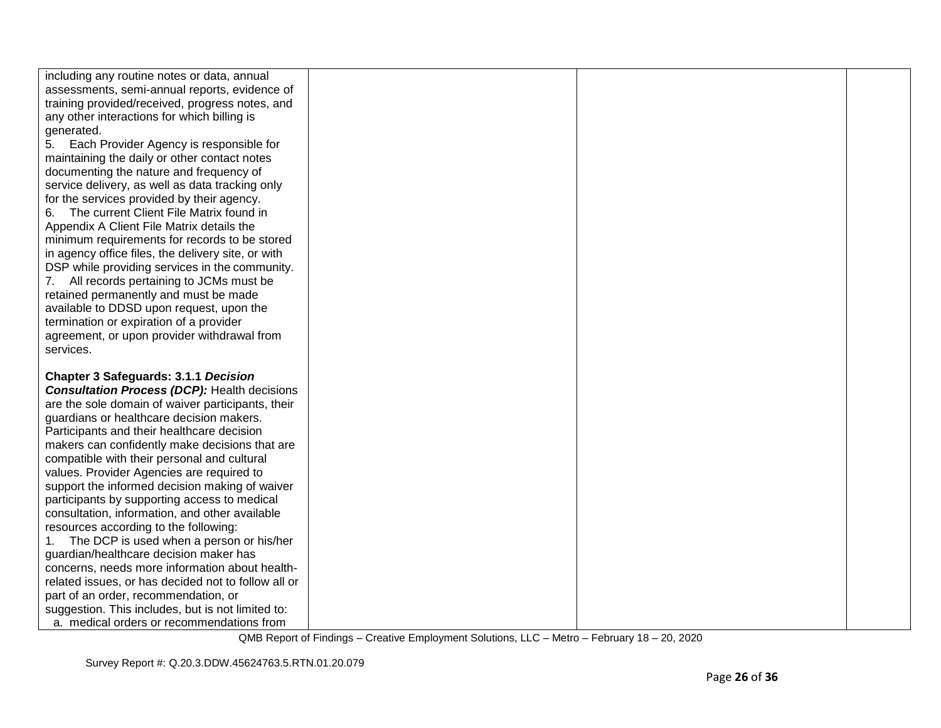| including any routine notes or data, annual         |  |  |
|-----------------------------------------------------|--|--|
| assessments, semi-annual reports, evidence of       |  |  |
| training provided/received, progress notes, and     |  |  |
| any other interactions for which billing is         |  |  |
| generated.                                          |  |  |
| Each Provider Agency is responsible for<br>5.       |  |  |
| maintaining the daily or other contact notes        |  |  |
| documenting the nature and frequency of             |  |  |
| service delivery, as well as data tracking only     |  |  |
| for the services provided by their agency.          |  |  |
| 6. The current Client File Matrix found in          |  |  |
| Appendix A Client File Matrix details the           |  |  |
| minimum requirements for records to be stored       |  |  |
| in agency office files, the delivery site, or with  |  |  |
| DSP while providing services in the community.      |  |  |
| All records pertaining to JCMs must be<br>7.        |  |  |
| retained permanently and must be made               |  |  |
| available to DDSD upon request, upon the            |  |  |
| termination or expiration of a provider             |  |  |
| agreement, or upon provider withdrawal from         |  |  |
| services.                                           |  |  |
|                                                     |  |  |
| <b>Chapter 3 Safeguards: 3.1.1 Decision</b>         |  |  |
| <b>Consultation Process (DCP): Health decisions</b> |  |  |
| are the sole domain of waiver participants, their   |  |  |
| guardians or healthcare decision makers.            |  |  |
| Participants and their healthcare decision          |  |  |
| makers can confidently make decisions that are      |  |  |
| compatible with their personal and cultural         |  |  |
| values. Provider Agencies are required to           |  |  |
| support the informed decision making of waiver      |  |  |
| participants by supporting access to medical        |  |  |
| consultation, information, and other available      |  |  |
| resources according to the following:               |  |  |
| 1. The DCP is used when a person or his/her         |  |  |
| guardian/healthcare decision maker has              |  |  |
| concerns, needs more information about health-      |  |  |
| related issues, or has decided not to follow all or |  |  |
| part of an order, recommendation, or                |  |  |
| suggestion. This includes, but is not limited to:   |  |  |
| a. medical orders or recommendations from           |  |  |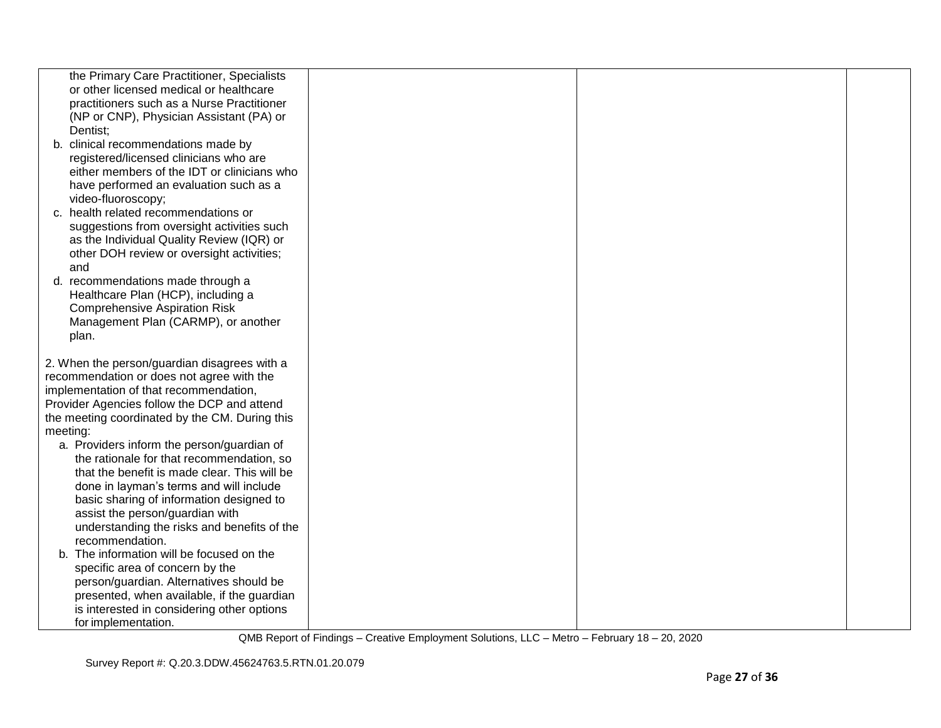| the Primary Care Practitioner, Specialists                                            |  |  |
|---------------------------------------------------------------------------------------|--|--|
| or other licensed medical or healthcare                                               |  |  |
| practitioners such as a Nurse Practitioner                                            |  |  |
|                                                                                       |  |  |
| (NP or CNP), Physician Assistant (PA) or                                              |  |  |
| Dentist;                                                                              |  |  |
| b. clinical recommendations made by                                                   |  |  |
| registered/licensed clinicians who are<br>either members of the IDT or clinicians who |  |  |
|                                                                                       |  |  |
| have performed an evaluation such as a                                                |  |  |
| video-fluoroscopy;                                                                    |  |  |
| c. health related recommendations or                                                  |  |  |
| suggestions from oversight activities such                                            |  |  |
| as the Individual Quality Review (IQR) or                                             |  |  |
| other DOH review or oversight activities;                                             |  |  |
| and                                                                                   |  |  |
| d. recommendations made through a                                                     |  |  |
| Healthcare Plan (HCP), including a                                                    |  |  |
| <b>Comprehensive Aspiration Risk</b>                                                  |  |  |
| Management Plan (CARMP), or another                                                   |  |  |
| plan.                                                                                 |  |  |
| 2. When the person/guardian disagrees with a                                          |  |  |
| recommendation or does not agree with the                                             |  |  |
| implementation of that recommendation,                                                |  |  |
| Provider Agencies follow the DCP and attend                                           |  |  |
| the meeting coordinated by the CM. During this                                        |  |  |
| meeting:                                                                              |  |  |
| a. Providers inform the person/guardian of                                            |  |  |
| the rationale for that recommendation, so                                             |  |  |
| that the benefit is made clear. This will be                                          |  |  |
|                                                                                       |  |  |
| done in layman's terms and will include<br>basic sharing of information designed to   |  |  |
| assist the person/guardian with                                                       |  |  |
| understanding the risks and benefits of the                                           |  |  |
| recommendation.                                                                       |  |  |
|                                                                                       |  |  |
| b. The information will be focused on the                                             |  |  |
| specific area of concern by the                                                       |  |  |
| person/guardian. Alternatives should be                                               |  |  |
| presented, when available, if the guardian                                            |  |  |
| is interested in considering other options                                            |  |  |
| for implementation.                                                                   |  |  |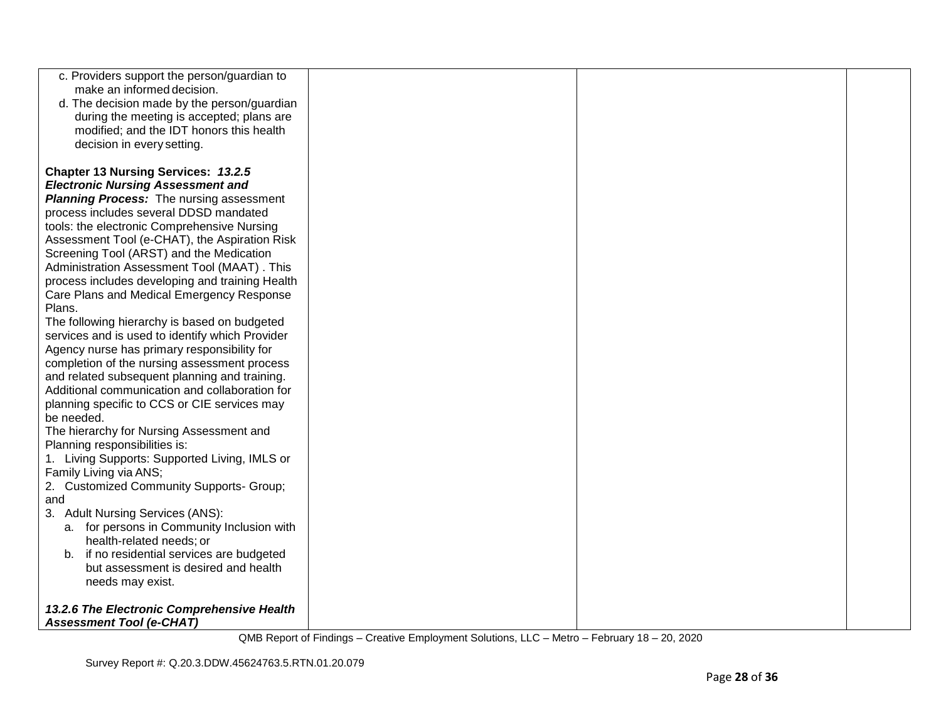| c. Providers support the person/guardian to                                           |  |  |
|---------------------------------------------------------------------------------------|--|--|
| make an informed decision.                                                            |  |  |
| d. The decision made by the person/guardian                                           |  |  |
| during the meeting is accepted; plans are<br>modified; and the IDT honors this health |  |  |
| decision in every setting.                                                            |  |  |
|                                                                                       |  |  |
| Chapter 13 Nursing Services: 13.2.5                                                   |  |  |
| <b>Electronic Nursing Assessment and</b>                                              |  |  |
| <b>Planning Process:</b> The nursing assessment                                       |  |  |
| process includes several DDSD mandated                                                |  |  |
| tools: the electronic Comprehensive Nursing                                           |  |  |
| Assessment Tool (e-CHAT), the Aspiration Risk                                         |  |  |
| Screening Tool (ARST) and the Medication                                              |  |  |
| Administration Assessment Tool (MAAT). This                                           |  |  |
| process includes developing and training Health                                       |  |  |
| Care Plans and Medical Emergency Response<br>Plans.                                   |  |  |
| The following hierarchy is based on budgeted                                          |  |  |
| services and is used to identify which Provider                                       |  |  |
| Agency nurse has primary responsibility for                                           |  |  |
| completion of the nursing assessment process                                          |  |  |
| and related subsequent planning and training.                                         |  |  |
| Additional communication and collaboration for                                        |  |  |
| planning specific to CCS or CIE services may                                          |  |  |
| be needed.                                                                            |  |  |
| The hierarchy for Nursing Assessment and                                              |  |  |
| Planning responsibilities is:<br>1. Living Supports: Supported Living, IMLS or        |  |  |
| Family Living via ANS;                                                                |  |  |
| 2. Customized Community Supports- Group;                                              |  |  |
| and                                                                                   |  |  |
| 3. Adult Nursing Services (ANS):                                                      |  |  |
| a. for persons in Community Inclusion with                                            |  |  |
| health-related needs; or                                                              |  |  |
| b. if no residential services are budgeted                                            |  |  |
| but assessment is desired and health<br>needs may exist.                              |  |  |
|                                                                                       |  |  |
| 13.2.6 The Electronic Comprehensive Health                                            |  |  |
| <b>Assessment Tool (e-CHAT)</b>                                                       |  |  |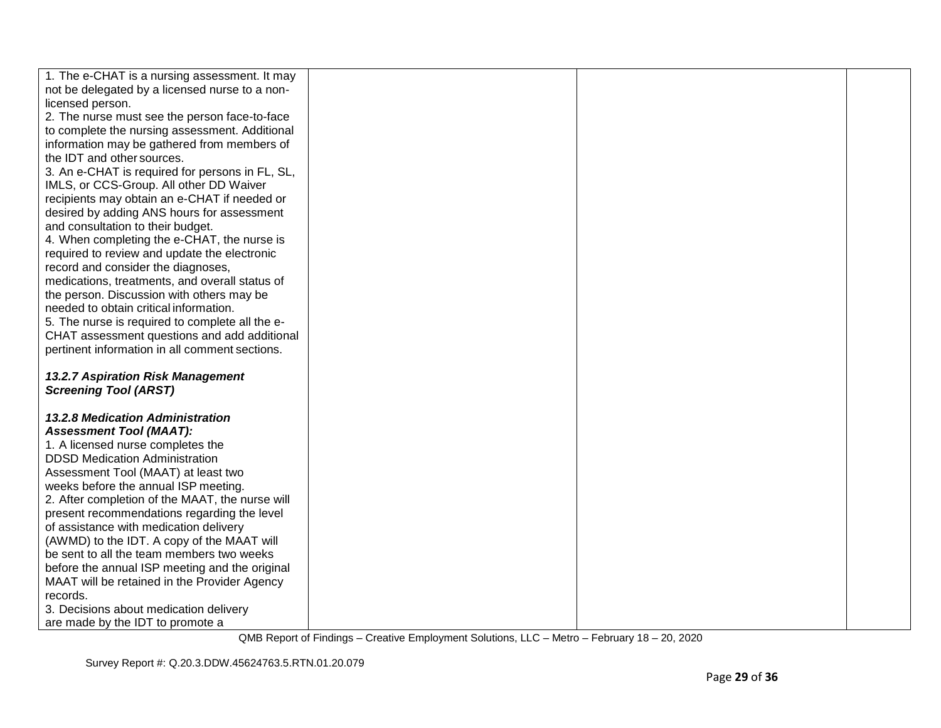| 1. The e-CHAT is a nursing assessment. It may   |  |  |
|-------------------------------------------------|--|--|
| not be delegated by a licensed nurse to a non-  |  |  |
| licensed person.                                |  |  |
| 2. The nurse must see the person face-to-face   |  |  |
| to complete the nursing assessment. Additional  |  |  |
| information may be gathered from members of     |  |  |
| the IDT and other sources.                      |  |  |
| 3. An e-CHAT is required for persons in FL, SL, |  |  |
| IMLS, or CCS-Group. All other DD Waiver         |  |  |
| recipients may obtain an e-CHAT if needed or    |  |  |
| desired by adding ANS hours for assessment      |  |  |
| and consultation to their budget.               |  |  |
| 4. When completing the e-CHAT, the nurse is     |  |  |
| required to review and update the electronic    |  |  |
| record and consider the diagnoses,              |  |  |
| medications, treatments, and overall status of  |  |  |
| the person. Discussion with others may be       |  |  |
| needed to obtain critical information.          |  |  |
| 5. The nurse is required to complete all the e- |  |  |
| CHAT assessment questions and add additional    |  |  |
| pertinent information in all comment sections.  |  |  |
|                                                 |  |  |
| 13.2.7 Aspiration Risk Management               |  |  |
| <b>Screening Tool (ARST)</b>                    |  |  |
|                                                 |  |  |
| <b>13.2.8 Medication Administration</b>         |  |  |
| <b>Assessment Tool (MAAT):</b>                  |  |  |
| 1. A licensed nurse completes the               |  |  |
| <b>DDSD Medication Administration</b>           |  |  |
| Assessment Tool (MAAT) at least two             |  |  |
| weeks before the annual ISP meeting.            |  |  |
| 2. After completion of the MAAT, the nurse will |  |  |
| present recommendations regarding the level     |  |  |
| of assistance with medication delivery          |  |  |
| (AWMD) to the IDT. A copy of the MAAT will      |  |  |
| be sent to all the team members two weeks       |  |  |
| before the annual ISP meeting and the original  |  |  |
| MAAT will be retained in the Provider Agency    |  |  |
| records.                                        |  |  |
| 3. Decisions about medication delivery          |  |  |
| are made by the IDT to promote a                |  |  |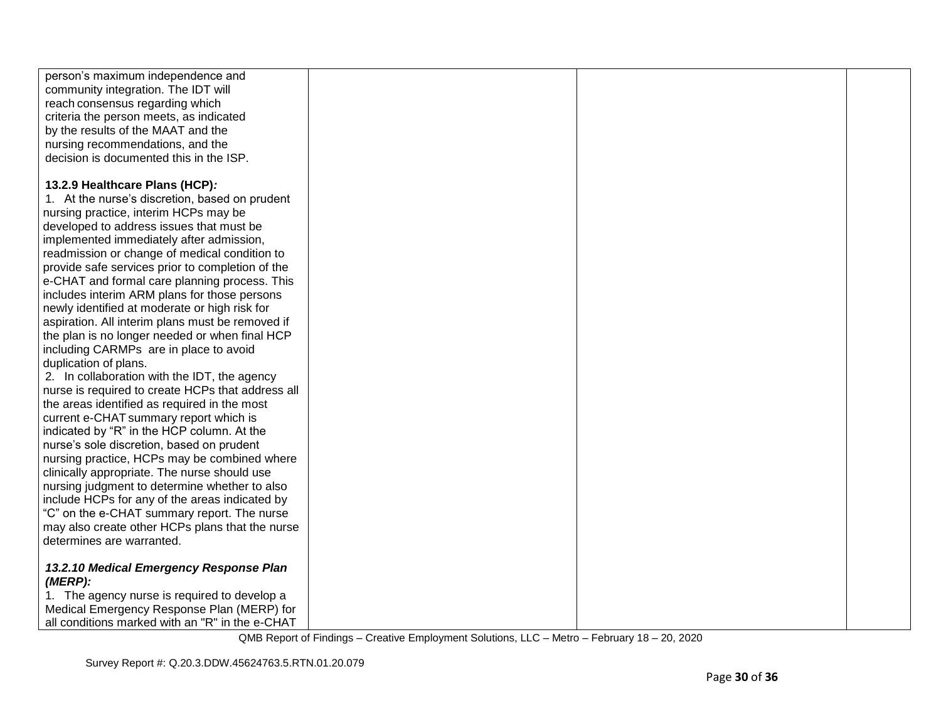| person's maximum independence and                 |  |  |
|---------------------------------------------------|--|--|
| community integration. The IDT will               |  |  |
| reach consensus regarding which                   |  |  |
| criteria the person meets, as indicated           |  |  |
| by the results of the MAAT and the                |  |  |
| nursing recommendations, and the                  |  |  |
| decision is documented this in the ISP.           |  |  |
|                                                   |  |  |
| 13.2.9 Healthcare Plans (HCP):                    |  |  |
| 1. At the nurse's discretion, based on prudent    |  |  |
| nursing practice, interim HCPs may be             |  |  |
| developed to address issues that must be          |  |  |
| implemented immediately after admission,          |  |  |
| readmission or change of medical condition to     |  |  |
| provide safe services prior to completion of the  |  |  |
| e-CHAT and formal care planning process. This     |  |  |
| includes interim ARM plans for those persons      |  |  |
| newly identified at moderate or high risk for     |  |  |
| aspiration. All interim plans must be removed if  |  |  |
| the plan is no longer needed or when final HCP    |  |  |
| including CARMPs are in place to avoid            |  |  |
| duplication of plans.                             |  |  |
| 2. In collaboration with the IDT, the agency      |  |  |
| nurse is required to create HCPs that address all |  |  |
| the areas identified as required in the most      |  |  |
| current e-CHAT summary report which is            |  |  |
| indicated by "R" in the HCP column. At the        |  |  |
| nurse's sole discretion, based on prudent         |  |  |
| nursing practice, HCPs may be combined where      |  |  |
| clinically appropriate. The nurse should use      |  |  |
| nursing judgment to determine whether to also     |  |  |
| include HCPs for any of the areas indicated by    |  |  |
| "C" on the e-CHAT summary report. The nurse       |  |  |
| may also create other HCPs plans that the nurse   |  |  |
| determines are warranted.                         |  |  |
|                                                   |  |  |
| 13.2.10 Medical Emergency Response Plan           |  |  |
| (MERP):                                           |  |  |
| 1. The agency nurse is required to develop a      |  |  |
| Medical Emergency Response Plan (MERP) for        |  |  |
| all conditions marked with an "R" in the e-CHAT   |  |  |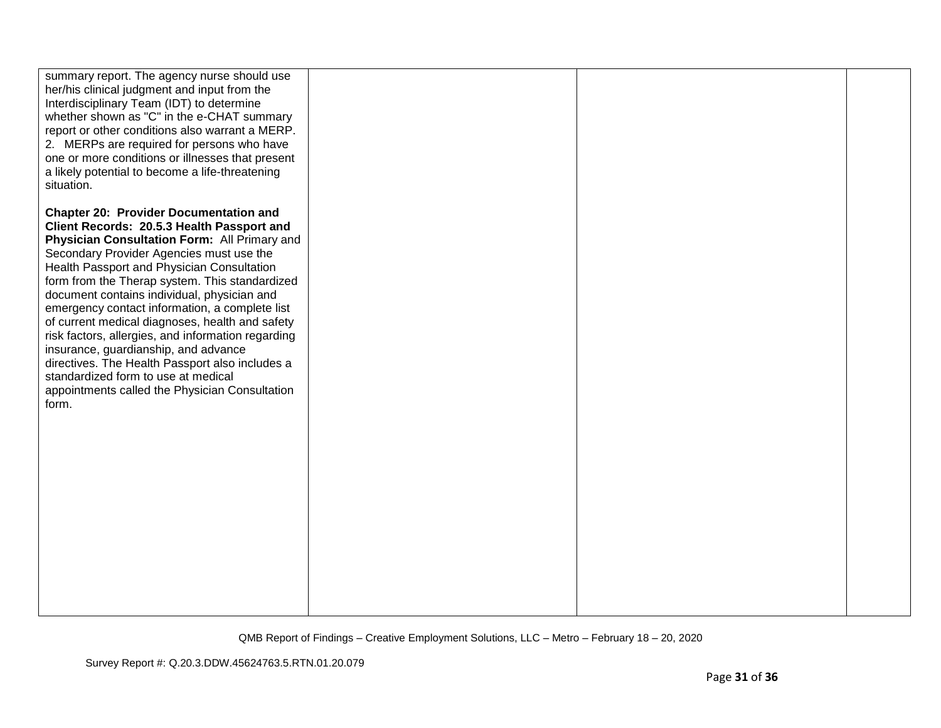| summary report. The agency nurse should use<br>her/his clinical judgment and input from the<br>Interdisciplinary Team (IDT) to determine<br>whether shown as "C" in the e-CHAT summary<br>report or other conditions also warrant a MERP.<br>2. MERPs are required for persons who have<br>one or more conditions or illnesses that present<br>a likely potential to become a life-threatening<br>situation.                                                                                                                                                                                                                                                                                   |  |  |
|------------------------------------------------------------------------------------------------------------------------------------------------------------------------------------------------------------------------------------------------------------------------------------------------------------------------------------------------------------------------------------------------------------------------------------------------------------------------------------------------------------------------------------------------------------------------------------------------------------------------------------------------------------------------------------------------|--|--|
| <b>Chapter 20: Provider Documentation and</b><br>Client Records: 20.5.3 Health Passport and<br>Physician Consultation Form: All Primary and<br>Secondary Provider Agencies must use the<br>Health Passport and Physician Consultation<br>form from the Therap system. This standardized<br>document contains individual, physician and<br>emergency contact information, a complete list<br>of current medical diagnoses, health and safety<br>risk factors, allergies, and information regarding<br>insurance, guardianship, and advance<br>directives. The Health Passport also includes a<br>standardized form to use at medical<br>appointments called the Physician Consultation<br>form. |  |  |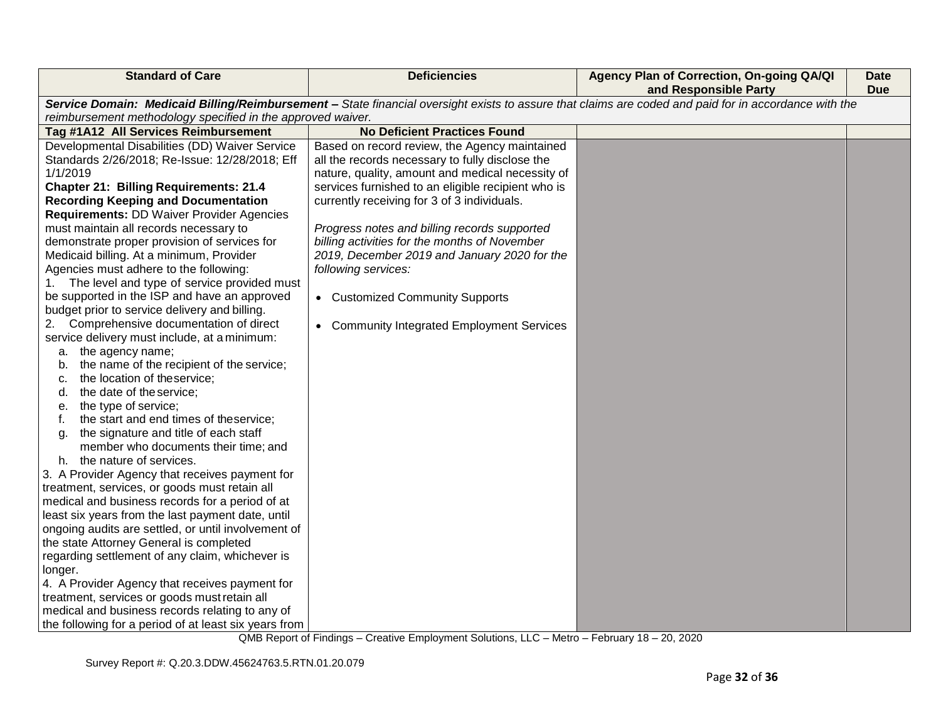| <b>Standard of Care</b>                                                                | <b>Deficiencies</b>                                                                                                                                   | Agency Plan of Correction, On-going QA/QI<br>and Responsible Party | <b>Date</b><br><b>Due</b> |  |  |
|----------------------------------------------------------------------------------------|-------------------------------------------------------------------------------------------------------------------------------------------------------|--------------------------------------------------------------------|---------------------------|--|--|
|                                                                                        | Service Domain: Medicaid Billing/Reimbursement - State financial oversight exists to assure that claims are coded and paid for in accordance with the |                                                                    |                           |  |  |
| reimbursement methodology specified in the approved waiver.                            | <b>No Deficient Practices Found</b>                                                                                                                   |                                                                    |                           |  |  |
| Tag #1A12 All Services Reimbursement<br>Developmental Disabilities (DD) Waiver Service |                                                                                                                                                       |                                                                    |                           |  |  |
| Standards 2/26/2018; Re-Issue: 12/28/2018; Eff                                         | Based on record review, the Agency maintained<br>all the records necessary to fully disclose the                                                      |                                                                    |                           |  |  |
| 1/1/2019                                                                               | nature, quality, amount and medical necessity of                                                                                                      |                                                                    |                           |  |  |
| <b>Chapter 21: Billing Requirements: 21.4</b>                                          | services furnished to an eligible recipient who is                                                                                                    |                                                                    |                           |  |  |
| <b>Recording Keeping and Documentation</b>                                             | currently receiving for 3 of 3 individuals.                                                                                                           |                                                                    |                           |  |  |
| <b>Requirements: DD Waiver Provider Agencies</b>                                       |                                                                                                                                                       |                                                                    |                           |  |  |
| must maintain all records necessary to                                                 | Progress notes and billing records supported                                                                                                          |                                                                    |                           |  |  |
| demonstrate proper provision of services for                                           | billing activities for the months of November                                                                                                         |                                                                    |                           |  |  |
| Medicaid billing. At a minimum, Provider                                               | 2019, December 2019 and January 2020 for the                                                                                                          |                                                                    |                           |  |  |
| Agencies must adhere to the following:                                                 | following services:                                                                                                                                   |                                                                    |                           |  |  |
| The level and type of service provided must<br>1.                                      |                                                                                                                                                       |                                                                    |                           |  |  |
| be supported in the ISP and have an approved                                           | • Customized Community Supports                                                                                                                       |                                                                    |                           |  |  |
| budget prior to service delivery and billing.                                          |                                                                                                                                                       |                                                                    |                           |  |  |
| Comprehensive documentation of direct                                                  | • Community Integrated Employment Services                                                                                                            |                                                                    |                           |  |  |
| service delivery must include, at a minimum:                                           |                                                                                                                                                       |                                                                    |                           |  |  |
| a. the agency name;                                                                    |                                                                                                                                                       |                                                                    |                           |  |  |
| the name of the recipient of the service;<br>b.                                        |                                                                                                                                                       |                                                                    |                           |  |  |
| the location of theservice;<br>C.                                                      |                                                                                                                                                       |                                                                    |                           |  |  |
| the date of the service;<br>d.                                                         |                                                                                                                                                       |                                                                    |                           |  |  |
| the type of service;<br>е.                                                             |                                                                                                                                                       |                                                                    |                           |  |  |
| the start and end times of theservice;<br>f.                                           |                                                                                                                                                       |                                                                    |                           |  |  |
| the signature and title of each staff<br>a.                                            |                                                                                                                                                       |                                                                    |                           |  |  |
| member who documents their time; and                                                   |                                                                                                                                                       |                                                                    |                           |  |  |
| h. the nature of services.                                                             |                                                                                                                                                       |                                                                    |                           |  |  |
| 3. A Provider Agency that receives payment for                                         |                                                                                                                                                       |                                                                    |                           |  |  |
| treatment, services, or goods must retain all                                          |                                                                                                                                                       |                                                                    |                           |  |  |
| medical and business records for a period of at                                        |                                                                                                                                                       |                                                                    |                           |  |  |
| least six years from the last payment date, until                                      |                                                                                                                                                       |                                                                    |                           |  |  |
| ongoing audits are settled, or until involvement of                                    |                                                                                                                                                       |                                                                    |                           |  |  |
| the state Attorney General is completed                                                |                                                                                                                                                       |                                                                    |                           |  |  |
| regarding settlement of any claim, whichever is                                        |                                                                                                                                                       |                                                                    |                           |  |  |
| longer.                                                                                |                                                                                                                                                       |                                                                    |                           |  |  |
| 4. A Provider Agency that receives payment for                                         |                                                                                                                                                       |                                                                    |                           |  |  |
| treatment, services or goods must retain all                                           |                                                                                                                                                       |                                                                    |                           |  |  |
| medical and business records relating to any of                                        |                                                                                                                                                       |                                                                    |                           |  |  |
| the following for a period of at least six years from                                  |                                                                                                                                                       |                                                                    |                           |  |  |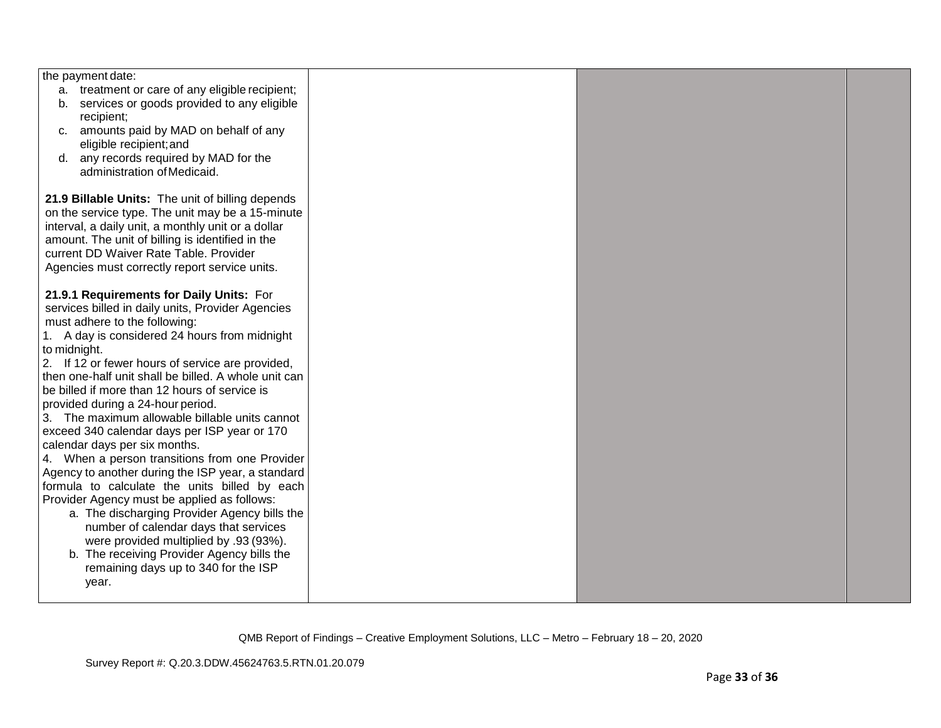| the payment date:                                    |  |  |
|------------------------------------------------------|--|--|
| a. treatment or care of any eligible recipient;      |  |  |
| services or goods provided to any eligible<br>b.     |  |  |
| recipient;                                           |  |  |
| amounts paid by MAD on behalf of any<br>C.           |  |  |
| eligible recipient; and                              |  |  |
| d. any records required by MAD for the               |  |  |
| administration of Medicaid.                          |  |  |
|                                                      |  |  |
| 21.9 Billable Units: The unit of billing depends     |  |  |
| on the service type. The unit may be a 15-minute     |  |  |
| interval, a daily unit, a monthly unit or a dollar   |  |  |
| amount. The unit of billing is identified in the     |  |  |
| current DD Waiver Rate Table. Provider               |  |  |
| Agencies must correctly report service units.        |  |  |
|                                                      |  |  |
| 21.9.1 Requirements for Daily Units: For             |  |  |
| services billed in daily units, Provider Agencies    |  |  |
| must adhere to the following:                        |  |  |
| 1. A day is considered 24 hours from midnight        |  |  |
| to midnight.                                         |  |  |
| 2. If 12 or fewer hours of service are provided,     |  |  |
| then one-half unit shall be billed. A whole unit can |  |  |
| be billed if more than 12 hours of service is        |  |  |
| provided during a 24-hour period.                    |  |  |
| 3. The maximum allowable billable units cannot       |  |  |
| exceed 340 calendar days per ISP year or 170         |  |  |
| calendar days per six months.                        |  |  |
| 4. When a person transitions from one Provider       |  |  |
| Agency to another during the ISP year, a standard    |  |  |
| formula to calculate the units billed by each        |  |  |
| Provider Agency must be applied as follows:          |  |  |
| a. The discharging Provider Agency bills the         |  |  |
| number of calendar days that services                |  |  |
| were provided multiplied by .93 (93%).               |  |  |
| b. The receiving Provider Agency bills the           |  |  |
|                                                      |  |  |
| remaining days up to 340 for the ISP                 |  |  |
| year.                                                |  |  |
|                                                      |  |  |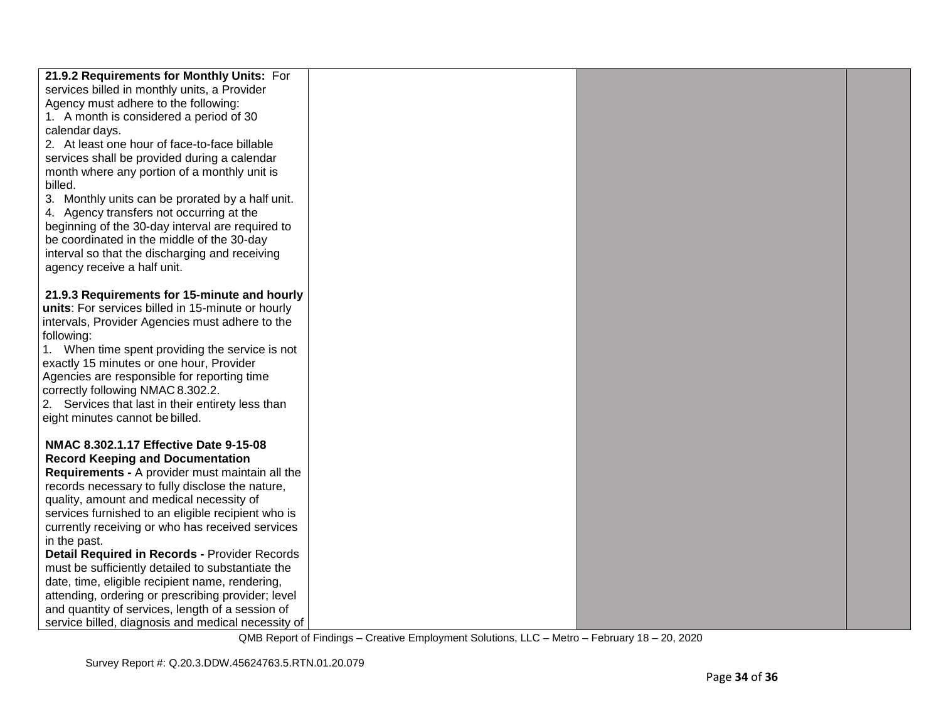| 21.9.2 Requirements for Monthly Units: For         |  |  |
|----------------------------------------------------|--|--|
| services billed in monthly units, a Provider       |  |  |
| Agency must adhere to the following:               |  |  |
| 1. A month is considered a period of 30            |  |  |
| calendar days.                                     |  |  |
| 2. At least one hour of face-to-face billable      |  |  |
| services shall be provided during a calendar       |  |  |
| month where any portion of a monthly unit is       |  |  |
| billed.                                            |  |  |
| 3. Monthly units can be prorated by a half unit.   |  |  |
| 4. Agency transfers not occurring at the           |  |  |
| beginning of the 30-day interval are required to   |  |  |
| be coordinated in the middle of the 30-day         |  |  |
| interval so that the discharging and receiving     |  |  |
| agency receive a half unit.                        |  |  |
|                                                    |  |  |
| 21.9.3 Requirements for 15-minute and hourly       |  |  |
| units: For services billed in 15-minute or hourly  |  |  |
| intervals, Provider Agencies must adhere to the    |  |  |
| following:                                         |  |  |
| 1. When time spent providing the service is not    |  |  |
| exactly 15 minutes or one hour, Provider           |  |  |
| Agencies are responsible for reporting time        |  |  |
| correctly following NMAC 8.302.2.                  |  |  |
| 2. Services that last in their entirety less than  |  |  |
| eight minutes cannot be billed.                    |  |  |
|                                                    |  |  |
| NMAC 8.302.1.17 Effective Date 9-15-08             |  |  |
| <b>Record Keeping and Documentation</b>            |  |  |
| Requirements - A provider must maintain all the    |  |  |
| records necessary to fully disclose the nature,    |  |  |
| quality, amount and medical necessity of           |  |  |
| services furnished to an eligible recipient who is |  |  |
| currently receiving or who has received services   |  |  |
| in the past.                                       |  |  |
| Detail Required in Records - Provider Records      |  |  |
| must be sufficiently detailed to substantiate the  |  |  |
| date, time, eligible recipient name, rendering,    |  |  |
| attending, ordering or prescribing provider; level |  |  |
| and quantity of services, length of a session of   |  |  |
| service billed, diagnosis and medical necessity of |  |  |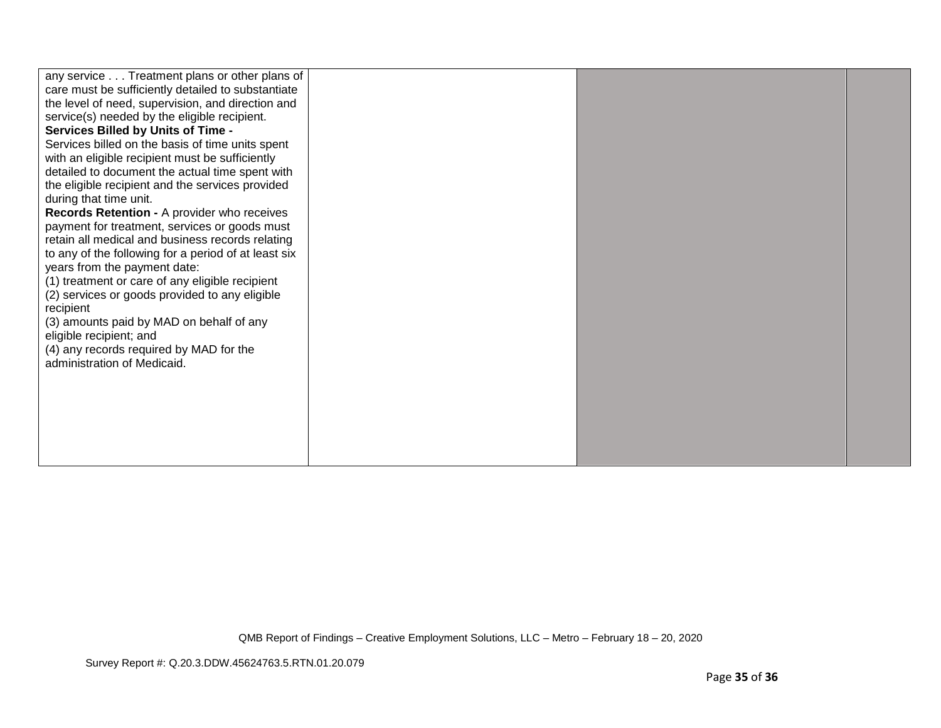| any service Treatment plans or other plans of<br>care must be sufficiently detailed to substantiate<br>the level of need, supervision, and direction and<br>service(s) needed by the eligible recipient.<br><b>Services Billed by Units of Time -</b><br>Services billed on the basis of time units spent<br>with an eligible recipient must be sufficiently<br>detailed to document the actual time spent with<br>the eligible recipient and the services provided<br>during that time unit.<br>Records Retention - A provider who receives<br>payment for treatment, services or goods must<br>retain all medical and business records relating<br>to any of the following for a period of at least six<br>years from the payment date:<br>(1) treatment or care of any eligible recipient<br>(2) services or goods provided to any eligible<br>recipient<br>(3) amounts paid by MAD on behalf of any<br>eligible recipient; and<br>(4) any records required by MAD for the<br>administration of Medicaid. |  |  |
|--------------------------------------------------------------------------------------------------------------------------------------------------------------------------------------------------------------------------------------------------------------------------------------------------------------------------------------------------------------------------------------------------------------------------------------------------------------------------------------------------------------------------------------------------------------------------------------------------------------------------------------------------------------------------------------------------------------------------------------------------------------------------------------------------------------------------------------------------------------------------------------------------------------------------------------------------------------------------------------------------------------|--|--|
|                                                                                                                                                                                                                                                                                                                                                                                                                                                                                                                                                                                                                                                                                                                                                                                                                                                                                                                                                                                                              |  |  |
|                                                                                                                                                                                                                                                                                                                                                                                                                                                                                                                                                                                                                                                                                                                                                                                                                                                                                                                                                                                                              |  |  |